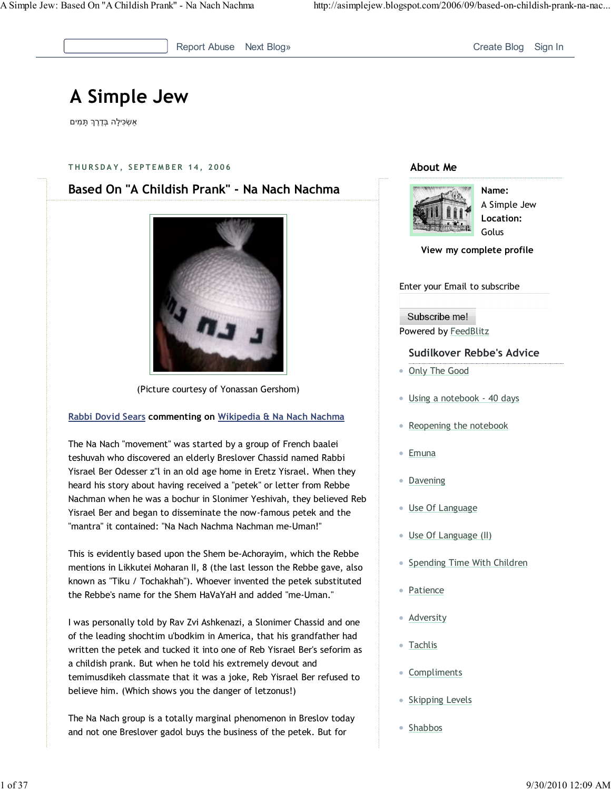

Report Abuse Next Blog» Create Blog Sign In

# A Simple Jew

אַשְׂכִּילָה בְּדֶרֶךְ תָּמִים

#### THURSDAY, SEPTEMBER 14, 2006



(Picture courtesy of Yonassan Gershom)

### Rabbi Dovid Sears commenting on Wikipedia & Na Nach Nachma

The Na Nach "movement" was started by a group of French baalei teshuvah who discovered an elderly Breslover Chassid named Rabbi Yisrael Ber Odesser z"l in an old age home in Eretz Yisrael. When they heard his story about having received a "petek" or letter from Rebbe Nachman when he was a bochur in Slonimer Yeshivah, they believed Reb Yisrael Ber and began to disseminate the now-famous petek and the "mantra" it contained: "Na Nach Nachma Nachman me-Uman!"

This is evidently based upon the Shem be-Achorayim, which the Rebbe mentions in Likkutei Moharan II, 8 (the last lesson the Rebbe gave, also known as "Tiku / Tochakhah"). Whoever invented the petek substituted the Rebbe's name for the Shem HaVaYaH and added "me-Uman."

I was personally told by Rav Zvi Ashkenazi, a Slonimer Chassid and one of the leading shochtim u'bodkim in America, that his grandfather had written the petek and tucked it into one of Reb Yisrael Ber's seforim as a childish prank. But when he told his extremely devout and temimusdikeh classmate that it was a joke, Reb Yisrael Ber refused to believe him. (Which shows you the danger of letzonus!)

The Na Nach group is a totally marginal phenomenon in Breslov today and not one Breslover gadol buys the business of the petek. But for

#### About Me



Name: A Simple Jew Location: Golus

#### View my complete profile

#### Enter your Email to subscribe

#### Subscribe me! Powered by FeedBlitz

#### Sudilkover Rebbe's Advice

- Only The Good
- Using a notebook 40 days
- Reopening the notebook
- Emuna
- Davening
- **Use Of Language**
- Use Of Language (II)
- Spending Time With Children
- Patience
- Adversity
- Tachlis
- Compliments
- Skipping Levels
- Shabbos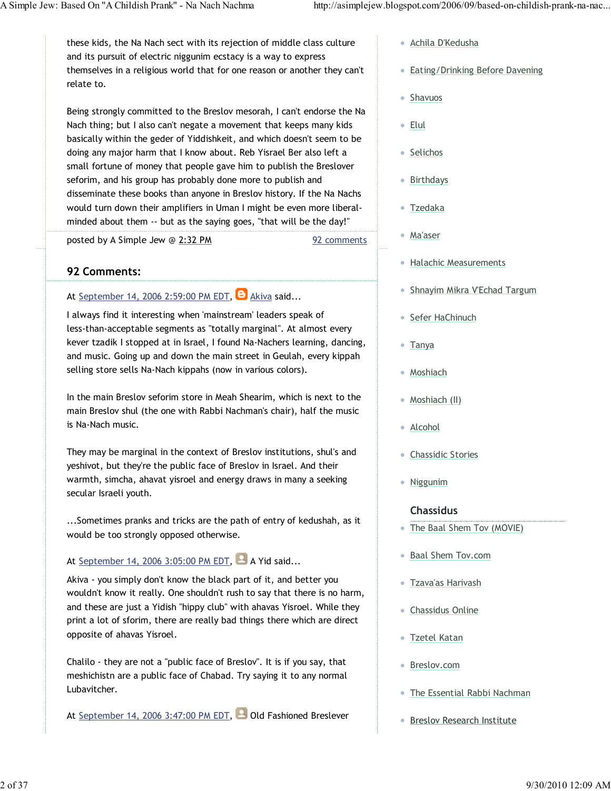these kids, the Na Nach sect with its rejection of middle class culture and its pursuit of electric niggunim ecstacy is a way to express themselves in a religious world that for one reason or another they can't relate to.

Being strongly committed to the Breslov mesorah, I can't endorse the Na Nach thing; but I also can't negate a movement that keeps many kids basically within the geder of Yiddishkeit, and which doesn't seem to be doing any major harm that I know about. Reb Yisrael Ber also left a small fortune of money that people gave him to publish the Breslover seforim, and his group has probably done more to publish and disseminate these books than anyone in Breslov history. If the Na Nachs would turn down their amplifiers in Uman I might be even more liberalminded about them -- but as the saying goes, "that will be the day!"

posted by A Simple Jew @ 2:32 PM

92 Comments:

## At September 14, 2006 2:59:00 PM EDT,  $\Theta$  Akiva said...

I always find it interesting when 'mainstream' leaders speak of less-than-acceptable segments as "totally marginal". At almost every kever tzadik I stopped at in Israel, I found Na-Nachers learning, dancing, and music. Going up and down the main street in Geulah, every kippah selling store sells Na-Nach kippahs (now in various colors).

In the main Breslov seforim store in Meah Shearim, which is next to the main Breslov shul (the one with Rabbi Nachman's chair), half the music is Na-Nach music.

They may be marginal in the context of Breslov institutions, shul's and yeshivot, but they're the public face of Breslov in Israel. And their warmth, simcha, ahavat yisroel and energy draws in many a seeking secular Israeli youth.

...Sometimes pranks and tricks are the path of entry of kedushah, as it would be too strongly opposed otherwise.

## At September 14, 2006 3:05:00 PM EDT, A Yid said...

Akiva - you simply don't know the black part of it, and better you wouldn't know it really. One shouldn't rush to say that there is no harm, and these are just a Yidish "hippy club" with ahavas Yisroel. While they print a lot of sforim, there are really bad things there which are direct opposite of ahavas Yisroel.

Chalilo - they are not a "public face of Breslov". It is if you say, that meshichistn are a public face of Chabad. Try saying it to any normal Lubavitcher.

At September 14, 2006 3:47:00 PM EDT, Old Fashioned Breslever

- Achila D'Kedusha
- Eating/Drinking Before Davening
- Shavuos
- Elul
- Selichos
- Birthdays
- Tzedaka
- Ma'aser

92 comments

- **Halachic Measurements**
- Shnayim Mikra V'Echad Targum
- Sefer HaChinuch
- Tanya
- Moshiach
- Moshiach (II)
- Alcohol
- Chassidic Stories
- Niggunim

### Chassidus

- The Baal Shem Tov (MOVIE)
- Baal Shem Tov.com
- Tzava'as Harivash
- Chassidus Online
- Tzetel Katan
- Breslov.com
- The Essential Rabbi Nachman
- Breslov Research Institute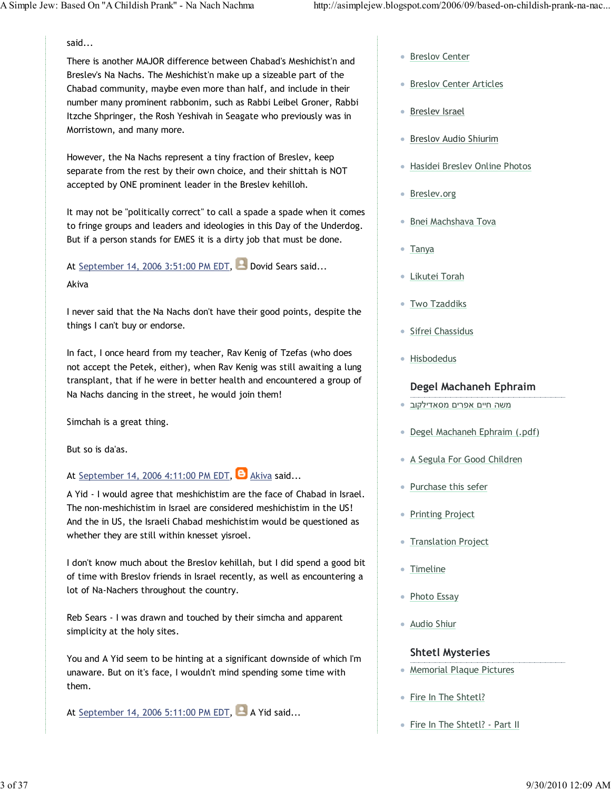said...

There is another MAJOR difference between Chabad's Meshichist'n and Breslev's Na Nachs. The Meshichist'n make up a sizeable part of the Chabad community, maybe even more than half, and include in their number many prominent rabbonim, such as Rabbi Leibel Groner, Rabbi Itzche Shpringer, the Rosh Yeshivah in Seagate who previously was in Morristown, and many more.

However, the Na Nachs represent a tiny fraction of Breslev, keep separate from the rest by their own choice, and their shittah is NOT accepted by ONE prominent leader in the Breslev kehilloh.

It may not be "politically correct" to call a spade a spade when it comes to fringe groups and leaders and ideologies in this Day of the Underdog. But if a person stands for EMES it is a dirty job that must be done.

At September 14, 2006 3:51:00 PM EDT, Dovid Sears said... Akiva

I never said that the Na Nachs don't have their good points, despite the things I can't buy or endorse.

In fact, I once heard from my teacher, Rav Kenig of Tzefas (who does not accept the Petek, either), when Rav Kenig was still awaiting a lung transplant, that if he were in better health and encountered a group of Na Nachs dancing in the street, he would join them!

Simchah is a great thing.

But so is da'as.

At September 14, 2006 4:11:00 PM EDT,  $\Theta$  Akiva said...

A Yid - I would agree that meshichistim are the face of Chabad in Israel. The non-meshichistim in Israel are considered meshichistim in the US! And the in US, the Israeli Chabad meshichistim would be questioned as whether they are still within knesset yisroel.

I don't know much about the Breslov kehillah, but I did spend a good bit of time with Breslov friends in Israel recently, as well as encountering a lot of Na-Nachers throughout the country.

Reb Sears - I was drawn and touched by their simcha and apparent simplicity at the holy sites.

You and A Yid seem to be hinting at a significant downside of which I'm unaware. But on it's face, I wouldn't mind spending some time with them.

At September 14, 2006 5:11:00 PM EDT,  $\blacksquare$  A Yid said...

- Breslov Center
- Breslov Center Articles
- Breslev Israel
- Breslov Audio Shiurim
- Hasidei Breslev Online Photos
- Breslev.org
- Bnei Machshava Tova
- Tanya
- Likutei Torah
- **Two Tzaddiks**
- Sifrei Chassidus
- Hisbodedus

### Degel Machaneh Ephraim

- משה חיים אפרים מסאדילקוב
- Degel Machaneh Ephraim (.pdf)
- A Segula For Good Children
- Purchase this sefer
- Printing Project
- **Translation Project**
- Timeline
- Photo Essay
- Audio Shiur

### Shtetl Mysteries

- Memorial Plaque Pictures
- Fire In The Shtetl?
- Fire In The Shtetl? Part II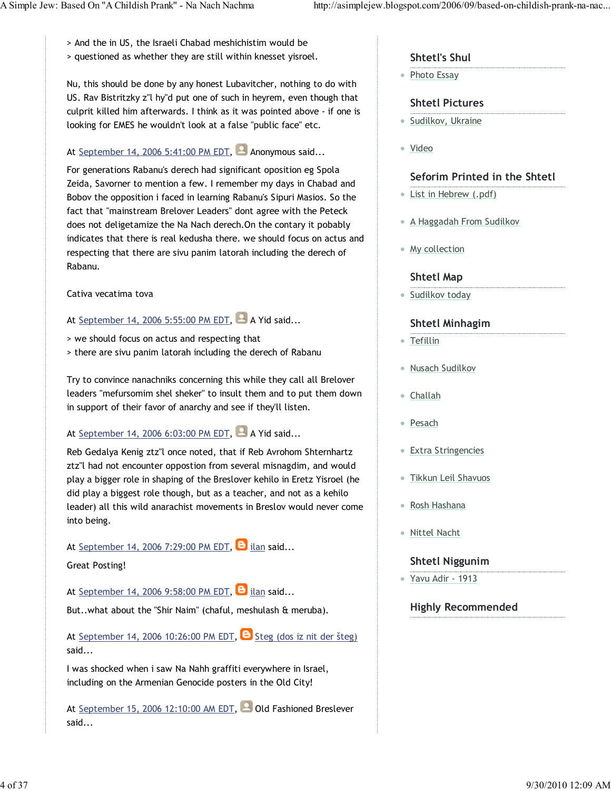> And the in US, the Israeli Chabad meshichistim would be

> questioned as whether they are still within knesset yisroel.

Nu, this should be done by any honest Lubavitcher, nothing to do with US. Rav Bistritzky z"l hy"d put one of such in heyrem, even though that culprit killed him afterwards. I think as it was pointed above - if one is looking for EMES he wouldn't look at a false "public face" etc.

### At September 14, 2006 5:41:00 PM EDT, Anonymous said...

For generations Rabanu's derech had significant oposition eg Spola Zeida, Savorner to mention a few. I remember my days in Chabad and Bobov the opposition i faced in learning Rabanu's Sipuri Masios. So the fact that "mainstream Brelover Leaders" dont agree with the Peteck does not deligetamize the Na Nach derech.On the contary it pobably indicates that there is real kedusha there. we should focus on actus and respecting that there are sivu panim latorah including the derech of Rabanu.

Cativa vecatima tova

# At September 14, 2006 5:55:00 PM EDT, A Yid said...

- > we should focus on actus and respecting that
- > there are sivu panim latorah including the derech of Rabanu

Try to convince nanachniks concerning this while they call all Brelover leaders "mefursomim shel sheker" to insult them and to put them down in support of their favor of anarchy and see if they'll listen.

## At September 14, 2006 6:03:00 PM EDT,  $\Box$  A Yid said...

Reb Gedalya Kenig ztz"l once noted, that if Reb Avrohom Shternhartz ztz"l had not encounter oppostion from several misnagdim, and would play a bigger role in shaping of the Breslover kehilo in Eretz Yisroel (he did play a biggest role though, but as a teacher, and not as a kehilo leader) all this wild anarachist movements in Breslov would never come into being.

At September 14, 2006 7:29:00 PM EDT,  $\Box$  ilan said...

### Great Posting!

At September 14, 2006 9:58:00 PM EDT,  $\Theta$  ilan said...

But..what about the "Shir Naim" (chaful, meshulash & meruba).

At September 14, 2006 10:26:00 PM EDT,  $\Theta$  Steg (dos iz nit der šteg) said...

I was shocked when i saw Na Nahh graffiti everywhere in Israel, including on the Armenian Genocide posters in the Old City!

At September 15, 2006 12:10:00 AM EDT, Old Fashioned Breslever said...

### Shtetl's Shul

• Photo Essay

### Shtetl Pictures

- **Sudilkov, Ukraine**
- Video

### Seforim Printed in the Shtetl

- List in Hebrew (.pdf)
- A Haggadah From Sudilkov
- My collection

### Shtetl Map

**Sudilkov today** 

### Shtetl Minhagim

- Tefillin
- · Nusach Sudilkov
- Challah
- Pesach ò.
- Extra Stringencies
- Tikkun Leil Shavuos
- Rosh Hashana
- Nittel Nacht

### Shtetl Niggunim

Yavu Adir - 1913

### Highly Recommended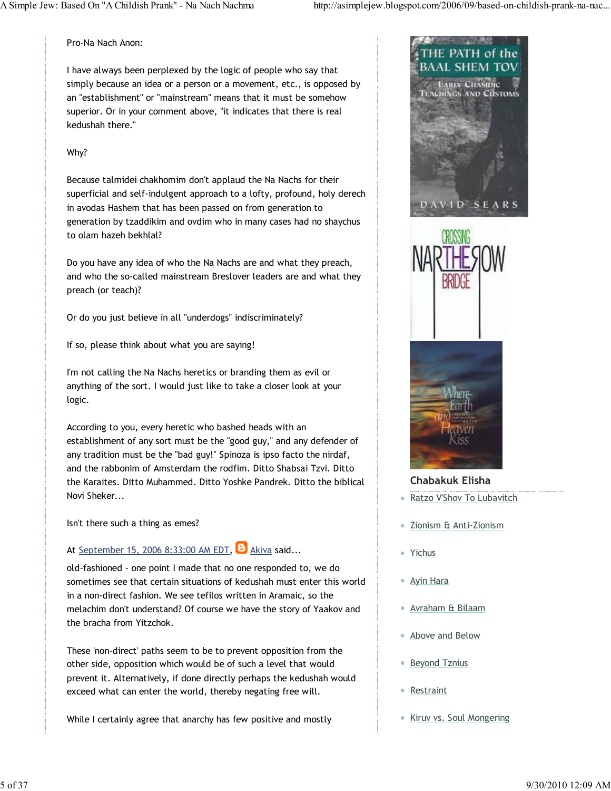Pro-Na Nach Anon:

I have always been perplexed by the logic of people who say that simply because an idea or a person or a movement, etc., is opposed by an "establishment" or "mainstream" means that it must be somehow superior. Or in your comment above, "it indicates that there is real kedushah there."

#### Why?

Because talmidei chakhomim don't applaud the Na Nachs for their superficial and self-indulgent approach to a lofty, profound, holy derech in avodas Hashem that has been passed on from generation to generation by tzaddikim and ovdim who in many cases had no shaychus to olam hazeh bekhlal?

Do you have any idea of who the Na Nachs are and what they preach, and who the so-called mainstream Breslover leaders are and what they preach (or teach)?

Or do you just believe in all "underdogs" indiscriminately?

If so, please think about what you are saying!

I'm not calling the Na Nachs heretics or branding them as evil or anything of the sort. I would just like to take a closer look at your logic.

According to you, every heretic who bashed heads with an establishment of any sort must be the "good guy," and any defender of any tradition must be the "bad guy!" Spinoza is ipso facto the nirdaf, and the rabbonim of Amsterdam the rodfim. Ditto Shabsai Tzvi. Ditto the Karaites. Ditto Muhammed. Ditto Yoshke Pandrek. Ditto the biblical Novi Sheker...

Isn't there such a thing as emes?

# At September 15, 2006 8:33:00 AM EDT,  $\Theta$  Akiva said...

old-fashioned - one point I made that no one responded to, we do sometimes see that certain situations of kedushah must enter this world in a non-direct fashion. We see tefilos written in Aramaic, so the melachim don't understand? Of course we have the story of Yaakov and the bracha from Yitzchok.

These 'non-direct' paths seem to be to prevent opposition from the other side, opposition which would be of such a level that would prevent it. Alternatively, if done directly perhaps the kedushah would exceed what can enter the world, thereby negating free will.

While I certainly agree that anarchy has few positive and mostly







Chabakuk Elisha

- Ratzo V'Shov To Lubavitch
- Zionism & Anti-Zionism
- Yichus
- Ayin Hara
- Avraham & Bilaam
- Above and Below
- Beyond Tznius
- Restraint
- Kiruv vs. Soul Mongering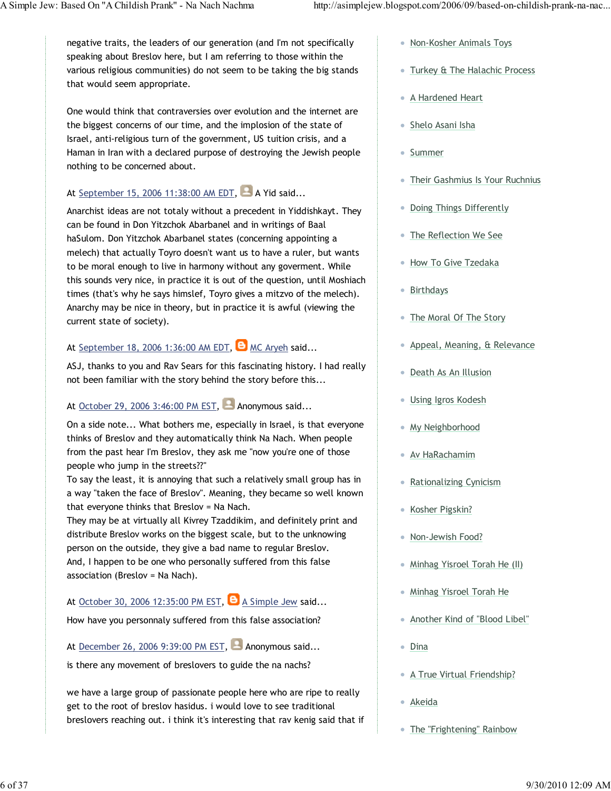negative traits, the leaders of our generation (and I'm not specifically speaking about Breslov here, but I am referring to those within the various religious communities) do not seem to be taking the big stands that would seem appropriate.

One would think that contraversies over evolution and the internet are the biggest concerns of our time, and the implosion of the state of Israel, anti-religious turn of the government, US tuition crisis, and a Haman in Iran with a declared purpose of destroying the Jewish people nothing to be concerned about.

### At September 15, 2006 11:38:00 AM EDT, A Yid said...

Anarchist ideas are not totaly without a precedent in Yiddishkayt. They can be found in Don Yitzchok Abarbanel and in writings of Baal haSulom. Don Yitzchok Abarbanel states (concerning appointing a melech) that actually Toyro doesn't want us to have a ruler, but wants to be moral enough to live in harmony without any goverment. While this sounds very nice, in practice it is out of the question, until Moshiach times (that's why he says himslef, Toyro gives a mitzvo of the melech). Anarchy may be nice in theory, but in practice it is awful (viewing the current state of society).

### At September 18, 2006 1:36:00 AM EDT,  $\Box$  MC Aryeh said...

ASJ, thanks to you and Rav Sears for this fascinating history. I had really not been familiar with the story behind the story before this...

### At October 29, 2006 3:46:00 PM EST, Anonymous said...

On a side note... What bothers me, especially in Israel, is that everyone thinks of Breslov and they automatically think Na Nach. When people from the past hear I'm Breslov, they ask me "now you're one of those people who jump in the streets??"

To say the least, it is annoying that such a relatively small group has in a way "taken the face of Breslov". Meaning, they became so well known that everyone thinks that Breslov = Na Nach.

They may be at virtually all Kivrey Tzaddikim, and definitely print and distribute Breslov works on the biggest scale, but to the unknowing person on the outside, they give a bad name to regular Breslov. And, I happen to be one who personally suffered from this false association (Breslov = Na Nach).

### At October 30, 2006 12:35:00 PM EST,  $\Theta$  A Simple Jew said...

How have you personnaly suffered from this false association?

At December 26, 2006 9:39:00 PM EST, **Anonymous said...** 

is there any movement of breslovers to guide the na nachs?

we have a large group of passionate people here who are ripe to really get to the root of breslov hasidus. i would love to see traditional breslovers reaching out. i think it's interesting that rav kenig said that if

- Non-Kosher Animals Toys
- **Turkey & The Halachic Process**
- A Hardened Heart
- Shelo Asani Isha
- Summer
- Their Gashmius Is Your Ruchnius
- Doing Things Differently
- The Reflection We See
- **How To Give Tzedaka**
- Birthdays
- The Moral Of The Story
- Appeal, Meaning, & Relevance
- Death As An Illusion
- Using Igros Kodesh
- **My Neighborhood**
- Av HaRachamim
- Rationalizing Cynicism
- Kosher Pigskin?
- Non-Jewish Food?
- Minhag Yisroel Torah He (II)
- Minhag Yisroel Torah He
- Another Kind of "Blood Libel"
- Dina
- **A True Virtual Friendship?**
- Akeida
- The "Frightening" Rainbow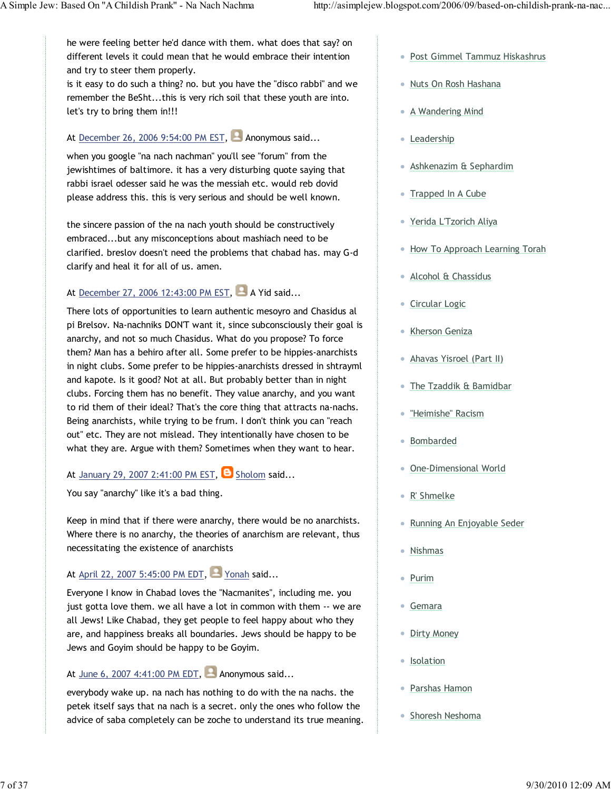he were feeling better he'd dance with them. what does that say? on different levels it could mean that he would embrace their intention and try to steer them properly.

is it easy to do such a thing? no. but you have the "disco rabbi" and we remember the BeSht...this is very rich soil that these youth are into. let's try to bring them in!!!

## At December 26, 2006 9:54:00 PM EST, Anonymous said...

when you google "na nach nachman" you'll see "forum" from the jewishtimes of baltimore. it has a very disturbing quote saying that rabbi israel odesser said he was the messiah etc. would reb dovid please address this. this is very serious and should be well known.

the sincere passion of the na nach youth should be constructively embraced...but any misconceptions about mashiach need to be clarified. breslov doesn't need the problems that chabad has. may G-d clarify and heal it for all of us. amen.

### At December 27, 2006 12:43:00 PM EST, A Yid said...

There lots of opportunities to learn authentic mesoyro and Chasidus al pi Brelsov. Na-nachniks DON'T want it, since subconsciously their goal is anarchy, and not so much Chasidus. What do you propose? To force them? Man has a behiro after all. Some prefer to be hippies-anarchists in night clubs. Some prefer to be hippies-anarchists dressed in shtrayml and kapote. Is it good? Not at all. But probably better than in night clubs. Forcing them has no benefit. They value anarchy, and you want to rid them of their ideal? That's the core thing that attracts na-nachs. Being anarchists, while trying to be frum. I don't think you can "reach out" etc. They are not mislead. They intentionally have chosen to be what they are. Argue with them? Sometimes when they want to hear.

### At January 29, 2007 2:41:00 PM EST,  $\Theta$  Sholom said...

You say "anarchy" like it's a bad thing.

Keep in mind that if there were anarchy, there would be no anarchists. Where there is no anarchy, the theories of anarchism are relevant, thus necessitating the existence of anarchists

## At April 22, 2007 5:45:00 PM EDT, Yonah said...

Everyone I know in Chabad loves the "Nacmanites", including me. you just gotta love them. we all have a lot in common with them -- we are all Jews! Like Chabad, they get people to feel happy about who they are, and happiness breaks all boundaries. Jews should be happy to be Jews and Goyim should be happy to be Goyim.

### At June 6, 2007 4:41:00 PM EDT, **Anonymous said...**

everybody wake up. na nach has nothing to do with the na nachs. the petek itself says that na nach is a secret. only the ones who follow the advice of saba completely can be zoche to understand its true meaning.

- Post Gimmel Tammuz Hiskashrus
- Nuts On Rosh Hashana
- A Wandering Mind
- Leadership
- Ashkenazim & Sephardim
- Trapped In A Cube
- Yerida L'Tzorich Aliya
- How To Approach Learning Torah
- Alcohol & Chassidus
- Circular Logic
- Kherson Geniza
- Ahavas Yisroel (Part II)
- The Tzaddik & Bamidbar
- "Heimishe" Racism
- Bombarded
- One-Dimensional World
- R' Shmelke
- Running An Enjoyable Seder
- Nishmas
- Purim
- Gemara
- Dirty Money
- Isolation
- Parshas Hamon
- Shoresh Neshoma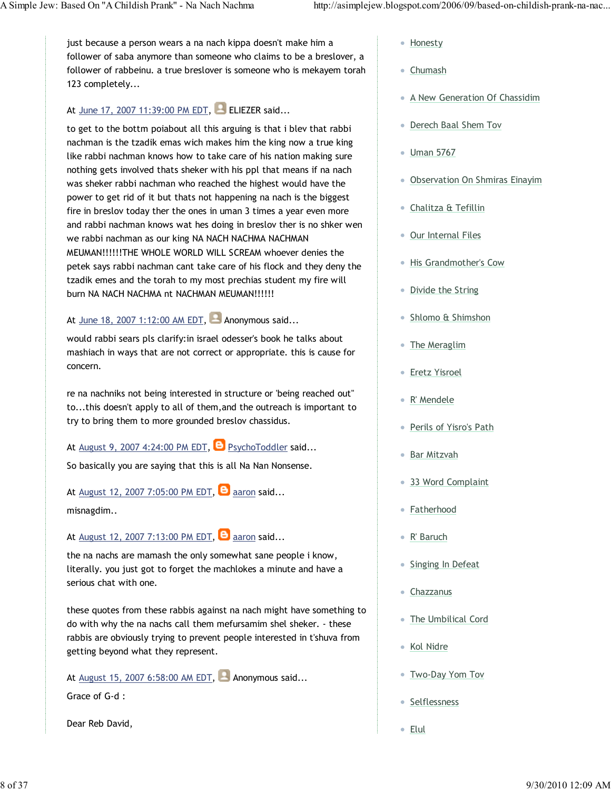just because a person wears a na nach kippa doesn't make him a follower of saba anymore than someone who claims to be a breslover, a follower of rabbeinu. a true breslover is someone who is mekayem torah 123 completely...

### At June 17, 2007 11:39:00 PM EDT, ELIEZER said...

to get to the bottm poiabout all this arguing is that i blev that rabbi nachman is the tzadik emas wich makes him the king now a true king like rabbi nachman knows how to take care of his nation making sure nothing gets involved thats sheker with his ppl that means if na nach was sheker rabbi nachman who reached the highest would have the power to get rid of it but thats not happening na nach is the biggest fire in breslov today ther the ones in uman 3 times a year even more and rabbi nachman knows wat hes doing in breslov ther is no shker wen we rabbi nachman as our king NA NACH NACHMA NACHMAN MEUMAN!!!!!!THE WHOLE WORLD WILL SCREAM whoever denies the petek says rabbi nachman cant take care of his flock and they deny the tzadik emes and the torah to my most prechias student my fire will burn NA NACH NACHMA nt NACHMAN MEUMAN!!!!!!

At June 18, 2007 1:12:00 AM EDT, **Anonymous said...** 

would rabbi sears pls clarify:in israel odesser's book he talks about mashiach in ways that are not correct or appropriate. this is cause for concern.

re na nachniks not being interested in structure or 'being reached out" to...this doesn't apply to all of them,and the outreach is important to try to bring them to more grounded breslov chassidus.

At August 9, 2007 4:24:00 PM EDT,  $\Theta$  PsychoToddler said...

So basically you are saying that this is all Na Nan Nonsense.

At August 12, 2007 7:05:00 PM EDT,  $\Theta$  aaron said...

misnagdim..

At August 12, 2007 7:13:00 PM EDT,  $\Theta$  aaron said...

the na nachs are mamash the only somewhat sane people i know, literally. you just got to forget the machlokes a minute and have a serious chat with one.

these quotes from these rabbis against na nach might have something to do with why the na nachs call them mefursamim shel sheker. - these rabbis are obviously trying to prevent people interested in t'shuva from getting beyond what they represent.

At August 15, 2007 6:58:00 AM EDT,  $\blacksquare$  Anonymous said...

Grace of G-d :

Dear Reb David,

- Honesty
- Chumash
- A New Generation Of Chassidim
- Derech Baal Shem Tov
- Uman 5767
- Observation On Shmiras Einayim
- Chalitza & Tefillin
- Our Internal Files
- His Grandmother's Cow
- Divide the String
- Shlomo & Shimshon
- The Meraglim
- **Eretz Yisroel**
- R' Mendele
- Perils of Yisro's Path
- Bar Mitzvah
- 33 Word Complaint
- Fatherhood
- R' Baruch
- Singing In Defeat
- Chazzanus
- The Umbilical Cord
- Kol Nidre
- Two-Day Yom Tov
- Selflessness
- Elul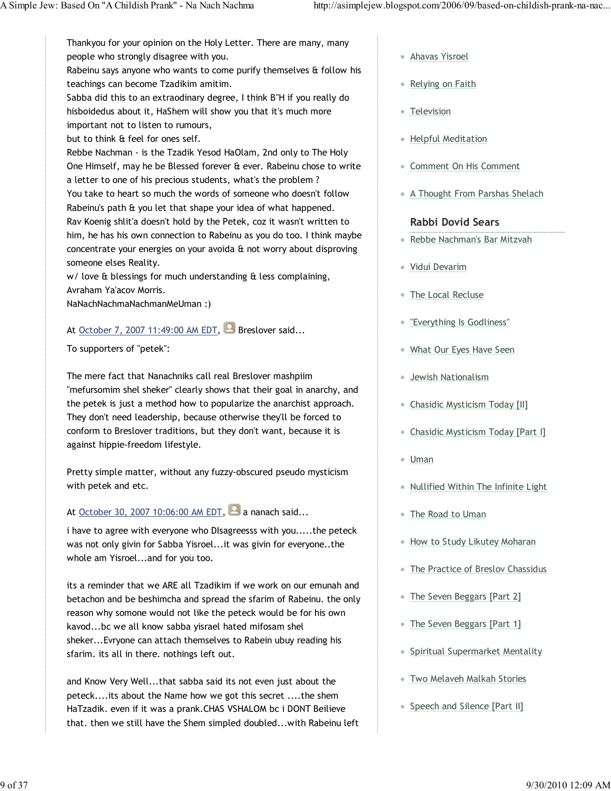Thankyou for your opinion on the Holy Letter. There are many, many people who strongly disagree with you.

Rabeinu says anyone who wants to come purify themselves & follow his teachings can become Tzadikim amitim.

Sabba did this to an extraodinary degree, I think B"H if you really do hisboidedus about it, HaShem will show you that it's much more important not to listen to rumours,

but to think & feel for ones self.

Rebbe Nachman - is the Tzadik Yesod HaOlam, 2nd only to The Holy One Himself, may he be Blessed forever & ever. Rabeinu chose to write a letter to one of his precious students, what's the problem ? You take to heart so much the words of someone who doesn't follow Rabeinu's path & you let that shape your idea of what happened. Rav Koenig shlit'a doesn't hold by the Petek, coz it wasn't written to him, he has his own connection to Rabeinu as you do too. I think maybe concentrate your energies on your avoida & not worry about disproving someone elses Reality.

w/ love & blessings for much understanding & less complaining, Avraham Ya'acov Morris.

NaNachNachmaNachmanMeUman :)

## At October 7, 2007 11:49:00 AM EDT, Breslover said...

To supporters of "petek":

The mere fact that Nanachniks call real Breslover mashpiim "mefursomim shel sheker" clearly shows that their goal in anarchy, and the petek is just a method how to popularize the anarchist approach. They don't need leadership, because otherwise they'll be forced to conform to Breslover traditions, but they don't want, because it is against hippie-freedom lifestyle.

Pretty simple matter, without any fuzzy-obscured pseudo mysticism with petek and etc.

At October 30, 2007 10:06:00 AM EDT,  $\Box$  a nanach said...

i have to agree with everyone who DIsagreesss with you.....the peteck was not only givin for Sabba Yisroel...it was givin for everyone..the whole am Yisroel...and for you too.

its a reminder that we ARE all Tzadikim if we work on our emunah and betachon and be beshimcha and spread the sfarim of Rabeinu. the only reason why somone would not like the peteck would be for his own kavod...bc we all know sabba yisrael hated mifosam shel sheker...Evryone can attach themselves to Rabein ubuy reading his sfarim. its all in there. nothings left out.

and Know Very Well...that sabba said its not even just about the peteck....its about the Name how we got this secret ....the shem HaTzadik. even if it was a prank.CHAS VSHALOM bc i DONT Beilieve that. then we still have the Shem simpled doubled...with Rabeinu left

- Ahavas Yisroel
- Relying on Faith
- Television
- Helpful Meditation
- Comment On His Comment
- A Thought From Parshas Shelach

### Rabbi Dovid Sears

- Rebbe Nachman's Bar Mitzvah
- Vidui Devarim
- The Local Recluse
- "Everything Is Godliness"
- What Our Eyes Have Seen
- Jewish Nationalism
- Chasidic Mysticism Today [II]
- Chasidic Mysticism Today [Part I]
- Uman
- Nullified Within The Infinite Light
- The Road to Uman
- How to Study Likutey Moharan
- The Practice of Breslov Chassidus
- The Seven Beggars [Part 2]
- The Seven Beggars [Part 1]
- Spiritual Supermarket Mentality
- Two Melaveh Malkah Stories
- Speech and Silence [Part II]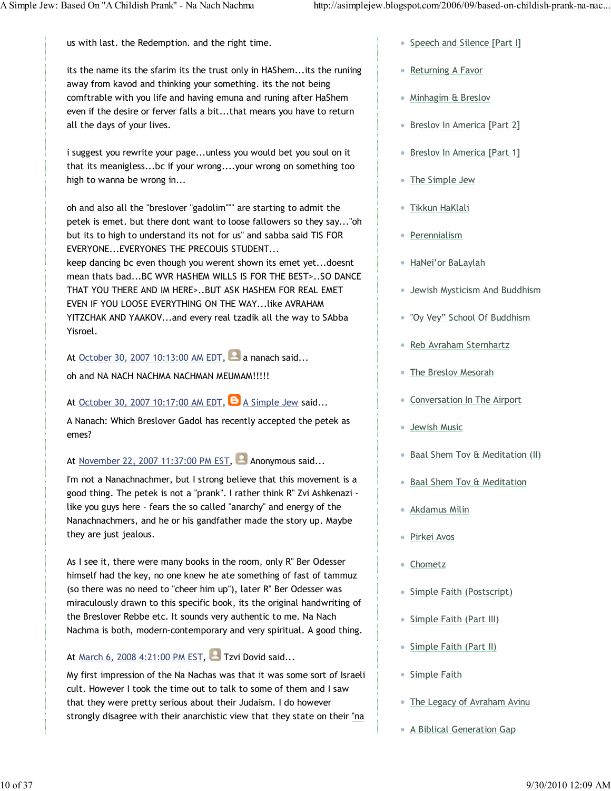us with last. the Redemption. and the right time.

its the name its the sfarim its the trust only in HAShem...its the runiing away from kavod and thinking your something. its the not being comftrable with you life and having emuna and runing after HaShem even if the desire or ferver falls a bit...that means you have to return all the days of your lives.

i suggest you rewrite your page...unless you would bet you soul on it that its meanigless...bc if your wrong....your wrong on something too high to wanna be wrong in...

oh and also all the "breslover "gadolim""" are starting to admit the petek is emet. but there dont want to loose fallowers so they say..."oh but its to high to understand its not for us" and sabba said TIS FOR EVERYONE...EVERYONES THE PRECOUIS STUDENT... keep dancing bc even though you werent shown its emet yet...doesnt mean thats bad...BC WVR HASHEM WILLS IS FOR THE BEST>..SO DANCE THAT YOU THERE AND IM HERE>..BUT ASK HASHEM FOR REAL EMET EVEN IF YOU LOOSE EVERYTHING ON THE WAY...like AVRAHAM YITZCHAK AND YAAKOV...and every real tzadik all the way to SAbba Yisroel.

At October 30, 2007 10:13:00 AM EDT,  $\blacksquare$  a nanach said...

oh and NA NACH NACHMA NACHMAN MEUMAM!!!!!

### At October 30, 2007 10:17:00 AM EDT,  $\Theta$  A Simple Jew said...

A Nanach: Which Breslover Gadol has recently accepted the petek as emes?

At November 22, 2007 11:37:00 PM EST,  $\blacksquare$  Anonymous said...

I'm not a Nanachnachmer, but I strong believe that this movement is a good thing. The petek is not a "prank". I rather think R" Zvi Ashkenazi like you guys here - fears the so called "anarchy" and energy of the Nanachnachmers, and he or his gandfather made the story up. Maybe they are just jealous.

As I see it, there were many books in the room, only R" Ber Odesser himself had the key, no one knew he ate something of fast of tammuz (so there was no need to "cheer him up"), later R" Ber Odesser was miraculously drawn to this specific book, its the original handwriting of the Breslover Rebbe etc. It sounds very authentic to me. Na Nach Nachma is both, modern-contemporary and very spiritual. A good thing.

### At March 6, 2008 4:21:00 PM EST, **P** Tzvi Dovid said...

My first impression of the Na Nachas was that it was some sort of Israeli cult. However I took the time out to talk to some of them and I saw that they were pretty serious about their Judaism. I do however strongly disagree with their anarchistic view that they state on their "na

- Speech and Silence [Part I]
- Returning A Favor
- Minhagim & Breslov
- Breslov In America [Part 2]
- Breslov In America [Part 1]
- The Simple Jew
- Tikkun HaKlali
- Perennialism
- HaNei'or BaLaylah
- Jewish Mysticism And Buddhism
- "Oy Vey" School Of Buddhism
- Reb Avraham Sternhartz
- The Breslov Mesorah
- Conversation In The Airport
- Jewish Music
- Baal Shem Tov & Meditation (II)
- Baal Shem Tov & Meditation
- Akdamus Milin
- Pirkei Avos
- Chometz
- Simple Faith (Postscript)
- Simple Faith (Part III)
- Simple Faith (Part II)
- Simple Faith
- The Legacy of Avraham Avinu
- **A Biblical Generation Gap**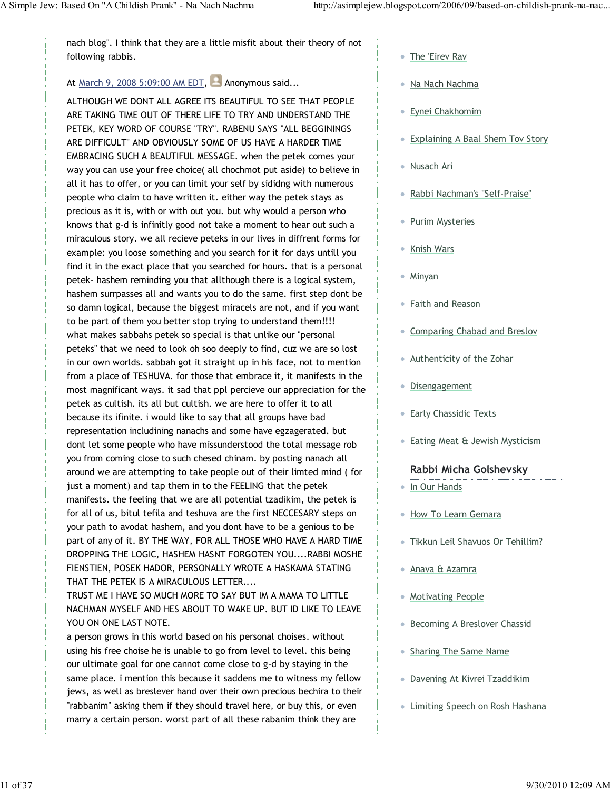nach blog". I think that they are a little misfit about their theory of not following rabbis.

### At March 9, 2008 5:09:00 AM EDT,  $\blacksquare$  Anonymous said...

ALTHOUGH WE DONT ALL AGREE ITS BEAUTIFUL TO SEE THAT PEOPLE ARE TAKING TIME OUT OF THERE LIFE TO TRY AND UNDERSTAND THE PETEK, KEY WORD OF COURSE "TRY". RABENU SAYS "ALL BEGGININGS ARE DIFFICULT" AND OBVIOUSLY SOME OF US HAVE A HARDER TIME EMBRACING SUCH A BEAUTIFUL MESSAGE. when the petek comes your way you can use your free choice( all chochmot put aside) to believe in all it has to offer, or you can limit your self by sididng with numerous people who claim to have written it. either way the petek stays as precious as it is, with or with out you. but why would a person who knows that g-d is infinitly good not take a moment to hear out such a miraculous story. we all recieve peteks in our lives in diffrent forms for example: you loose something and you search for it for days untill you find it in the exact place that you searched for hours. that is a personal petek- hashem reminding you that allthough there is a logical system, hashem surrpasses all and wants you to do the same. first step dont be so damn logical, because the biggest miracels are not, and if you want to be part of them you better stop trying to understand them!!!! what makes sabbahs petek so special is that unlike our "personal peteks" that we need to look oh soo deeply to find, cuz we are so lost in our own worlds. sabbah got it straight up in his face, not to mention from a place of TESHUVA. for those that embrace it, it manifests in the most magnificant ways. it sad that ppl percieve our appreciation for the petek as cultish. its all but cultish. we are here to offer it to all because its ifinite. i would like to say that all groups have bad representation includining nanachs and some have egzagerated. but dont let some people who have missunderstood the total message rob you from coming close to such chesed chinam. by posting nanach all around we are attempting to take people out of their limted mind ( for just a moment) and tap them in to the FEELING that the petek manifests. the feeling that we are all potential tzadikim, the petek is for all of us, bitul tefila and teshuva are the first NECCESARY steps on your path to avodat hashem, and you dont have to be a genious to be part of any of it. BY THE WAY, FOR ALL THOSE WHO HAVE A HARD TIME DROPPING THE LOGIC, HASHEM HASNT FORGOTEN YOU....RABBI MOSHE FIENSTIEN, POSEK HADOR, PERSONALLY WROTE A HASKAMA STATING THAT THE PETEK IS A MIRACULOUS LETTER....

TRUST ME I HAVE SO MUCH MORE TO SAY BUT IM A MAMA TO LITTLE NACHMAN MYSELF AND HES ABOUT TO WAKE UP. BUT ID LIKE TO LEAVE YOU ON ONE LAST NOTE.

a person grows in this world based on his personal choises. without using his free choise he is unable to go from level to level. this being our ultimate goal for one cannot come close to g-d by staying in the same place. i mention this because it saddens me to witness my fellow jews, as well as breslever hand over their own precious bechira to their "rabbanim" asking them if they should travel here, or buy this, or even marry a certain person. worst part of all these rabanim think they are

- The 'Eirev Rav
- Na Nach Nachma
- Eynei Chakhomim
- Explaining A Baal Shem Tov Story
- Nusach Ari
- Rabbi Nachman's "Self-Praise"
- Purim Mysteries
- Knish Wars
- Minyan
- Faith and Reason
- Comparing Chabad and Breslov
- Authenticity of the Zohar
- Disengagement
- **Early Chassidic Texts**
- Eating Meat & Jewish Mysticism

### Rabbi Micha Golshevsky

- In Our Hands
- How To Learn Gemara
- Tikkun Leil Shavuos Or Tehillim?
- Anava & Azamra
- Motivating People
- Becoming A Breslover Chassid
- Sharing The Same Name
- Davening At Kivrei Tzaddikim
- **Limiting Speech on Rosh Hashana**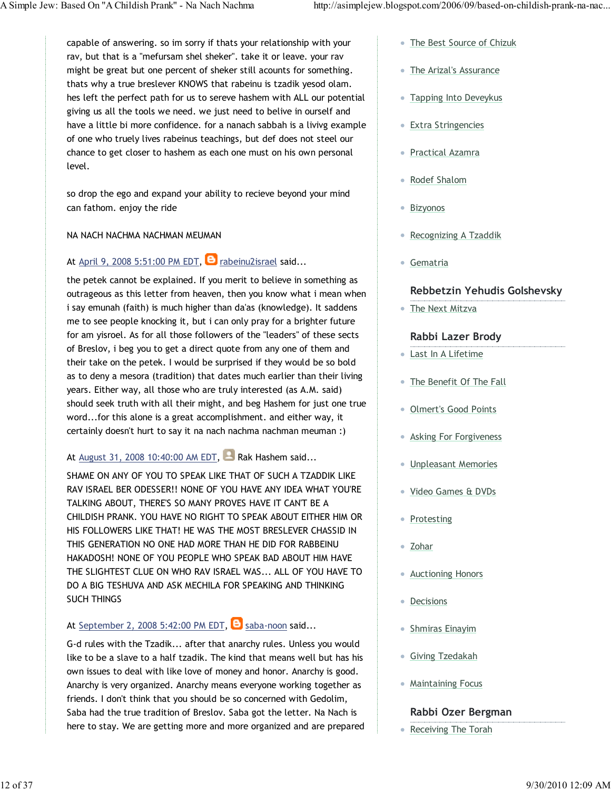capable of answering. so im sorry if thats your relationship with your rav, but that is a "mefursam shel sheker". take it or leave. your rav might be great but one percent of sheker still acounts for something. thats why a true breslever KNOWS that rabeinu is tzadik yesod olam. hes left the perfect path for us to sereve hashem with ALL our potential giving us all the tools we need. we just need to belive in ourself and have a little bi more confidence. for a nanach sabbah is a livivg example of one who truely lives rabeinus teachings, but def does not steel our chance to get closer to hashem as each one must on his own personal level.

so drop the ego and expand your ability to recieve beyond your mind can fathom. enjoy the ride

#### NA NACH NACHMA NACHMAN MEUMAN

### At April 9, 2008 5:51:00 PM EDT,  $\Theta$  rabeinu2israel said...

the petek cannot be explained. If you merit to believe in something as outrageous as this letter from heaven, then you know what i mean when i say emunah (faith) is much higher than da'as (knowledge). It saddens me to see people knocking it, but i can only pray for a brighter future for am yisroel. As for all those followers of the "leaders" of these sects of Breslov, i beg you to get a direct quote from any one of them and their take on the petek. I would be surprised if they would be so bold as to deny a mesora (tradition) that dates much earlier than their living years. Either way, all those who are truly interested (as A.M. said) should seek truth with all their might, and beg Hashem for just one true word...for this alone is a great accomplishment. and either way, it certainly doesn't hurt to say it na nach nachma nachman meuman :)

### At August 31, 2008 10:40:00 AM EDT, **Rak Hashem said...**

SHAME ON ANY OF YOU TO SPEAK LIKE THAT OF SUCH A TZADDIK LIKE RAV ISRAEL BER ODESSER!! NONE OF YOU HAVE ANY IDEA WHAT YOU'RE TALKING ABOUT, THERE'S SO MANY PROVES HAVE IT CAN'T BE A CHILDISH PRANK. YOU HAVE NO RIGHT TO SPEAK ABOUT EITHER HIM OR HIS FOLLOWERS LIKE THAT! HE WAS THE MOST BRESLEVER CHASSID IN THIS GENERATION NO ONE HAD MORE THAN HE DID FOR RABBEINU HAKADOSH! NONE OF YOU PEOPLE WHO SPEAK BAD ABOUT HIM HAVE THE SLIGHTEST CLUE ON WHO RAV ISRAEL WAS... ALL OF YOU HAVE TO DO A BIG TESHUVA AND ASK MECHILA FOR SPEAKING AND THINKING SUCH THINGS

### At September 2, 2008 5:42:00 PM EDT,  $\Theta$  saba-noon said...

G-d rules with the Tzadik... after that anarchy rules. Unless you would like to be a slave to a half tzadik. The kind that means well but has his own issues to deal with like love of money and honor. Anarchy is good. Anarchy is very organized. Anarchy means everyone working together as friends. I don't think that you should be so concerned with Gedolim, Saba had the true tradition of Breslov. Saba got the letter. Na Nach is here to stay. We are getting more and more organized and are prepared

- The Best Source of Chizuk
- The Arizal's Assurance
- Tapping Into Deveykus
- Extra Stringencies
- Practical Azamra
- Rodef Shalom
- Bizyonos
- Recognizing A Tzaddik
- Gematria

### Rebbetzin Yehudis Golshevsky

The Next Mitzva

### Rabbi Lazer Brody

- Last In A Lifetime
- The Benefit Of The Fall
- Olmert's Good Points
- Asking For Forgiveness
- Unpleasant Memories
- Video Games & DVDs
- Protesting
- Zohar
- Auctioning Honors
- Decisions
- Shmiras Einayim
- Giving Tzedakah
- Maintaining Focus

#### Rabbi Ozer Bergman

• Receiving The Torah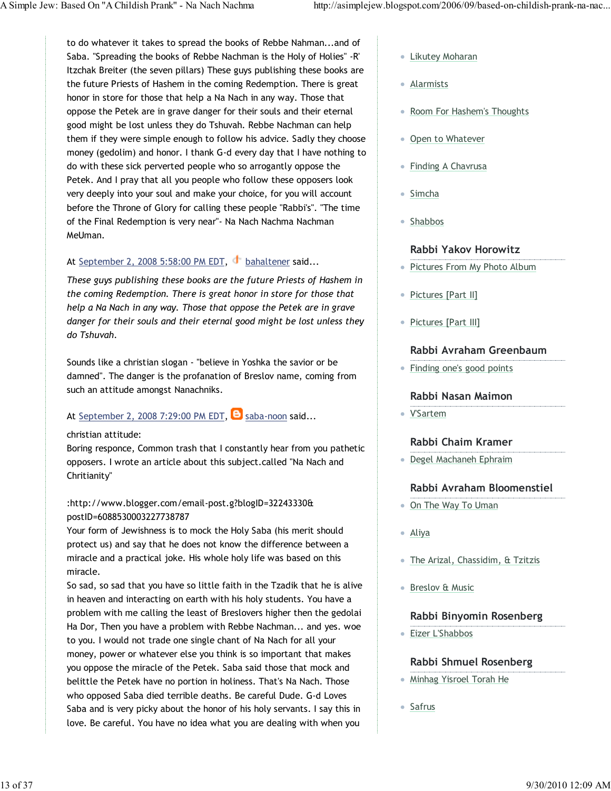to do whatever it takes to spread the books of Rebbe Nahman...and of Saba. "Spreading the books of Rebbe Nachman is the Holy of Holies" -R' Itzchak Breiter (the seven pillars) These guys publishing these books are the future Priests of Hashem in the coming Redemption. There is great honor in store for those that help a Na Nach in any way. Those that oppose the Petek are in grave danger for their souls and their eternal good might be lost unless they do Tshuvah. Rebbe Nachman can help them if they were simple enough to follow his advice. Sadly they choose money (gedolim) and honor. I thank G-d every day that I have nothing to do with these sick perverted people who so arrogantly oppose the Petek. And I pray that all you people who follow these opposers look very deeply into your soul and make your choice, for you will account before the Throne of Glory for calling these people "Rabbi's". "The time of the Final Redemption is very near"- Na Nach Nachma Nachman MeUman.

### At September 2, 2008 5:58:00 PM EDT, bahaltener said...

These guys publishing these books are the future Priests of Hashem in the coming Redemption. There is great honor in store for those that help a Na Nach in any way. Those that oppose the Petek are in grave danger for their souls and their eternal good might be lost unless they do Tshuvah.

Sounds like a christian slogan - "believe in Yoshka the savior or be damned". The danger is the profanation of Breslov name, coming from such an attitude amongst Nanachniks.

### At September 2, 2008 7:29:00 PM EDT,  $\Theta$  saba-noon said...

#### christian attitude:

Boring responce, Common trash that I constantly hear from you pathetic opposers. I wrote an article about this subject.called "Na Nach and Chritianity"

### :http://www.blogger.com/email-post.g?blogID=32243330& postID=6088530003227738787

Your form of Jewishness is to mock the Holy Saba (his merit should protect us) and say that he does not know the difference between a miracle and a practical joke. His whole holy life was based on this miracle.

So sad, so sad that you have so little faith in the Tzadik that he is alive in heaven and interacting on earth with his holy students. You have a problem with me calling the least of Breslovers higher then the gedolai Ha Dor, Then you have a problem with Rebbe Nachman... and yes. woe to you. I would not trade one single chant of Na Nach for all your money, power or whatever else you think is so important that makes you oppose the miracle of the Petek. Saba said those that mock and belittle the Petek have no portion in holiness. That's Na Nach. Those who opposed Saba died terrible deaths. Be careful Dude. G-d Loves Saba and is very picky about the honor of his holy servants. I say this in love. Be careful. You have no idea what you are dealing with when you

- Likutey Moharan
- Alarmists
- Room For Hashem's Thoughts
- Open to Whatever
- Finding A Chavrusa
- Simcha
- Shabbos

### Rabbi Yakov Horowitz

- Pictures From My Photo Album
- Pictures [Part II]
- Pictures [Part III]

### Rabbi Avraham Greenbaum

Finding one's good points

#### Rabbi Nasan Maimon

V'Sartem

### Rabbi Chaim Kramer

Degel Machaneh Ephraim

### Rabbi Avraham Bloomenstiel

- On The Way To Uman
- Aliya
- The Arizal, Chassidim, & Tzitzis
- Breslov & Music

#### Rabbi Binyomin Rosenberg

Eizer L'Shabbos

### Rabbi Shmuel Rosenberg

- Minhag Yisroel Torah He
- Safrus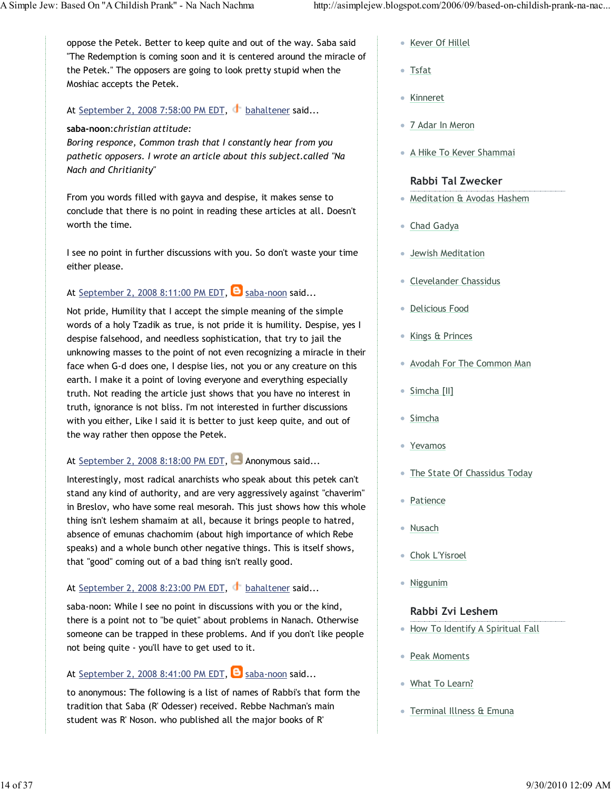oppose the Petek. Better to keep quite and out of the way. Saba said "The Redemption is coming soon and it is centered around the miracle of the Petek." The opposers are going to look pretty stupid when the Moshiac accepts the Petek.

### At September 2, 2008 7:58:00 PM EDT, bahaltener said...

#### saba-noon:christian attitude:

Boring responce, Common trash that I constantly hear from you pathetic opposers. I wrote an article about this subject.called "Na Nach and Chritianity"

From you words filled with gayva and despise, it makes sense to conclude that there is no point in reading these articles at all. Doesn't worth the time.

I see no point in further discussions with you. So don't waste your time either please.

### At September 2, 2008 8:11:00 PM EDT,  $\Theta$  saba-noon said...

Not pride, Humility that I accept the simple meaning of the simple words of a holy Tzadik as true, is not pride it is humility. Despise, yes I despise falsehood, and needless sophistication, that try to jail the unknowing masses to the point of not even recognizing a miracle in their face when G-d does one, I despise lies, not you or any creature on this earth. I make it a point of loving everyone and everything especially truth. Not reading the article just shows that you have no interest in truth, ignorance is not bliss. I'm not interested in further discussions with you either, Like I said it is better to just keep quite, and out of the way rather then oppose the Petek.

### At September 2, 2008 8:18:00 PM EDT, **Anonymous said...**

Interestingly, most radical anarchists who speak about this petek can't stand any kind of authority, and are very aggressively against "chaverim" in Breslov, who have some real mesorah. This just shows how this whole thing isn't leshem shamaim at all, because it brings people to hatred, absence of emunas chachomim (about high importance of which Rebe speaks) and a whole bunch other negative things. This is itself shows, that "good" coming out of a bad thing isn't really good.

### At September 2, 2008 8:23:00 PM EDT, bahaltener said...

saba-noon: While I see no point in discussions with you or the kind, there is a point not to "be quiet" about problems in Nanach. Otherwise someone can be trapped in these problems. And if you don't like people not being quite - you'll have to get used to it.

### At September 2, 2008 8:41:00 PM EDT,  $\bullet$  saba-noon said...

to anonymous: The following is a list of names of Rabbi's that form the tradition that Saba (R' Odesser) received. Rebbe Nachman's main student was R' Noson. who published all the major books of R'

- Kever Of Hillel
- Tsfat
- Kinneret
- 7 Adar In Meron
- A Hike To Kever Shammai

#### Rabbi Tal Zwecker

- Meditation & Avodas Hashem
- Chad Gadya
- Jewish Meditation
- Clevelander Chassidus
- Delicious Food
- Kings & Princes
- Avodah For The Common Man
- Simcha [II]
- Simcha
- Yevamos
- The State Of Chassidus Today
- Patience
- Nusach
- Chok L'Yisroel
- Niggunim

#### Rabbi Zvi Leshem

- How To Identify A Spiritual Fall
- Peak Moments
- What To Learn?
- Terminal Illness & Emuna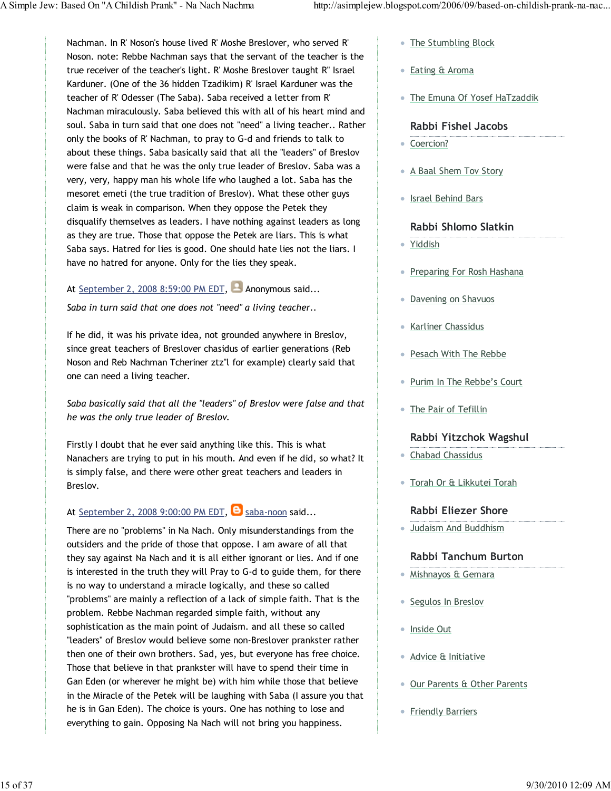Nachman. In R' Noson's house lived R' Moshe Breslover, who served R' Noson. note: Rebbe Nachman says that the servant of the teacher is the true receiver of the teacher's light. R' Moshe Breslover taught R" Israel Karduner. (One of the 36 hidden Tzadikim) R' Israel Karduner was the teacher of R' Odesser (The Saba). Saba received a letter from R' Nachman miraculously. Saba believed this with all of his heart mind and soul. Saba in turn said that one does not "need" a living teacher.. Rather only the books of R' Nachman, to pray to G-d and friends to talk to about these things. Saba basically said that all the "leaders" of Breslov were false and that he was the only true leader of Breslov. Saba was a very, very, happy man his whole life who laughed a lot. Saba has the mesoret emeti (the true tradition of Breslov). What these other guys claim is weak in comparison. When they oppose the Petek they disqualify themselves as leaders. I have nothing against leaders as long as they are true. Those that oppose the Petek are liars. This is what Saba says. Hatred for lies is good. One should hate lies not the liars. I have no hatred for anyone. Only for the lies they speak.

### At September 2, 2008 8:59:00 PM EDT, **Anonymous said...**

Saba in turn said that one does not "need" a living teacher..

If he did, it was his private idea, not grounded anywhere in Breslov, since great teachers of Breslover chasidus of earlier generations (Reb Noson and Reb Nachman Tcheriner ztz"l for example) clearly said that one can need a living teacher.

Saba basically said that all the "leaders" of Breslov were false and that he was the only true leader of Breslov.

Firstly I doubt that he ever said anything like this. This is what Nanachers are trying to put in his mouth. And even if he did, so what? It is simply false, and there were other great teachers and leaders in Breslov.

### At September 2, 2008 9:00:00 PM EDT,  $\Theta$  saba-noon said...

There are no "problems" in Na Nach. Only misunderstandings from the outsiders and the pride of those that oppose. I am aware of all that they say against Na Nach and it is all either ignorant or lies. And if one is interested in the truth they will Pray to G-d to guide them, for there is no way to understand a miracle logically, and these so called "problems" are mainly a reflection of a lack of simple faith. That is the problem. Rebbe Nachman regarded simple faith, without any sophistication as the main point of Judaism. and all these so called "leaders" of Breslov would believe some non-Breslover prankster rather then one of their own brothers. Sad, yes, but everyone has free choice. Those that believe in that prankster will have to spend their time in Gan Eden (or wherever he might be) with him while those that believe in the Miracle of the Petek will be laughing with Saba (I assure you that he is in Gan Eden). The choice is yours. One has nothing to lose and everything to gain. Opposing Na Nach will not bring you happiness.

- The Stumbling Block
- Eating & Aroma
- The Emuna Of Yosef HaTzaddik

#### Rabbi Fishel Jacobs

- Coercion?
- A Baal Shem Tov Story
- Israel Behind Bars

### Rabbi Shlomo Slatkin

- Yiddish
- Preparing For Rosh Hashana
- Davening on Shavuos
- Karliner Chassidus
- Pesach With The Rebbe
- Purim In The Rebbe's Court
- The Pair of Tefillin

### Rabbi Yitzchok Wagshul

- Chabad Chassidus
- Torah Or & Likkutei Torah

### Rabbi Eliezer Shore

Judaism And Buddhism

### Rabbi Tanchum Burton

- Mishnayos & Gemara
- Segulos In Breslov
- Inside Out
- Advice & Initiative
- Our Parents & Other Parents
- Friendly Barriers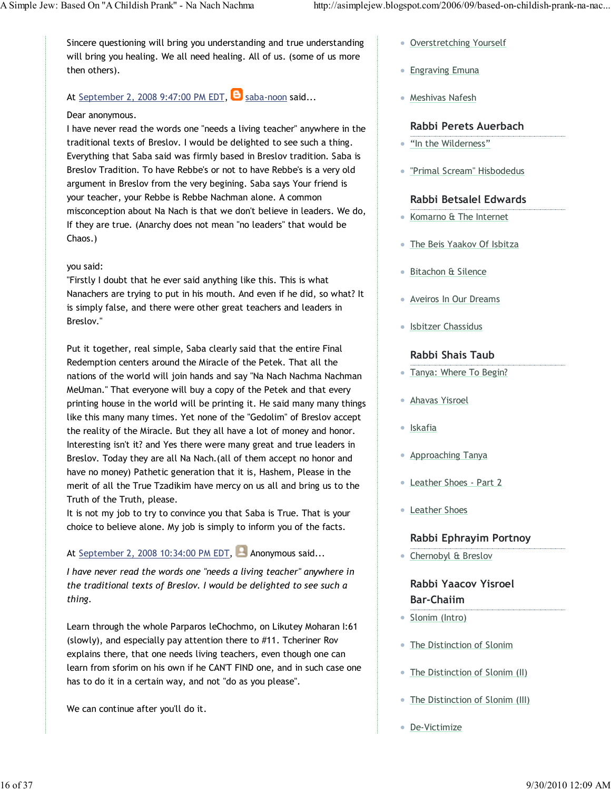Sincere questioning will bring you understanding and true understanding will bring you healing. We all need healing. All of us. (some of us more then others).

### At September 2, 2008 9:47:00 PM EDT,  $\Theta$  saba-noon said...

#### Dear anonymous.

I have never read the words one "needs a living teacher" anywhere in the traditional texts of Breslov. I would be delighted to see such a thing. Everything that Saba said was firmly based in Breslov tradition. Saba is Breslov Tradition. To have Rebbe's or not to have Rebbe's is a very old argument in Breslov from the very begining. Saba says Your friend is your teacher, your Rebbe is Rebbe Nachman alone. A common misconception about Na Nach is that we don't believe in leaders. We do, If they are true. (Anarchy does not mean "no leaders" that would be Chaos.)

### you said:

"Firstly I doubt that he ever said anything like this. This is what Nanachers are trying to put in his mouth. And even if he did, so what? It is simply false, and there were other great teachers and leaders in Breslov."

Put it together, real simple, Saba clearly said that the entire Final Redemption centers around the Miracle of the Petek. That all the nations of the world will join hands and say "Na Nach Nachma Nachman MeUman." That everyone will buy a copy of the Petek and that every printing house in the world will be printing it. He said many many things like this many many times. Yet none of the "Gedolim" of Breslov accept the reality of the Miracle. But they all have a lot of money and honor. Interesting isn't it? and Yes there were many great and true leaders in Breslov. Today they are all Na Nach.(all of them accept no honor and have no money) Pathetic generation that it is, Hashem, Please in the merit of all the True Tzadikim have mercy on us all and bring us to the Truth of the Truth, please.

It is not my job to try to convince you that Saba is True. That is your choice to believe alone. My job is simply to inform you of the facts.

### At September 2, 2008 10:34:00 PM EDT, Anonymous said...

I have never read the words one "needs a living teacher" anywhere in the traditional texts of Breslov. I would be delighted to see such a thing.

Learn through the whole Parparos leChochmo, on Likutey Moharan I:61 (slowly), and especially pay attention there to #11. Tcheriner Rov explains there, that one needs living teachers, even though one can learn from sforim on his own if he CAN'T FIND one, and in such case one has to do it in a certain way, and not "do as you please".

We can continue after you'll do it.

- Overstretching Yourself
- **Engraving Emuna**
- Meshivas Nafesh

### Rabbi Perets Auerbach

- "In the Wilderness"
- "Primal Scream" Hisbodedus

### Rabbi Betsalel Edwards

- Komarno & The Internet
- The Beis Yaakov Of Isbitza
- Bitachon & Silence
- Aveiros In Our Dreams
- Isbitzer Chassidus

### Rabbi Shais Taub

- Tanya: Where To Begin?
- Ahavas Yisroel
- Iskafia
- **Approaching Tanya**
- Leather Shoes Part 2
- Leather Shoes

### Rabbi Ephrayim Portnoy

Chernobyl & Breslov

### Rabbi Yaacov Yisroel Bar-Chaiim

- Slonim (Intro)
- The Distinction of Slonim
- The Distinction of Slonim (II)
- The Distinction of Slonim (III)
- De-Victimize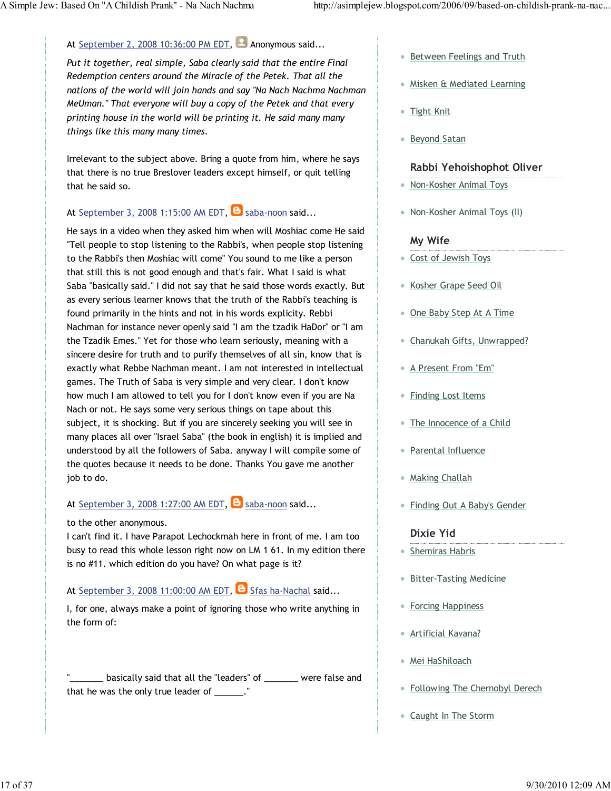### At September 2, 2008 10:36:00 PM EDT, Anonymous said...

Put it together, real simple, Saba clearly said that the entire Final Redemption centers around the Miracle of the Petek. That all the nations of the world will join hands and say "Na Nach Nachma Nachman MeUman." That everyone will buy a copy of the Petek and that every printing house in the world will be printing it. He said many many things like this many many times.

Irrelevant to the subject above. Bring a quote from him, where he says that there is no true Breslover leaders except himself, or quit telling that he said so.

### At September 3, 2008 1:15:00 AM EDT,  $\Theta$  saba-noon said...

He says in a video when they asked him when will Moshiac come He said "Tell people to stop listening to the Rabbi's, when people stop listening to the Rabbi's then Moshiac will come" You sound to me like a person that still this is not good enough and that's fair. What I said is what Saba "basically said." I did not say that he said those words exactly. But as every serious learner knows that the truth of the Rabbi's teaching is found primarily in the hints and not in his words explicity. Rebbi Nachman for instance never openly said "I am the tzadik HaDor" or "I am the Tzadik Emes." Yet for those who learn seriously, meaning with a sincere desire for truth and to purify themselves of all sin, know that is exactly what Rebbe Nachman meant. I am not interested in intellectual games. The Truth of Saba is very simple and very clear. I don't know how much I am allowed to tell you for I don't know even if you are Na Nach or not. He says some very serious things on tape about this subject, it is shocking. But if you are sincerely seeking you will see in many places all over "Israel Saba" (the book in english) it is implied and understood by all the followers of Saba. anyway I will compile some of the quotes because it needs to be done. Thanks You gave me another job to do.

### At September 3, 2008 1:27:00 AM EDT,  $\Theta$  saba-noon said...

#### to the other anonymous.

I can't find it. I have Parapot Lechockmah here in front of me. I am too busy to read this whole lesson right now on LM 1 61. In my edition there is no #11. which edition do you have? On what page is it?

### At September 3, 2008 11:00:00 AM EDT,  $\Theta$  Sfas ha-Nachal said...

I, for one, always make a point of ignoring those who write anything in the form of:

basically said that all the "leaders" of \_\_\_\_\_\_\_ were false and that he was the only true leader of \_\_\_\_\_\_."

- **Between Feelings and Truth**
- Misken & Mediated Learning
- Tight Knit
- Beyond Satan

#### Rabbi Yehoishophot Oliver

- Non-Kosher Animal Toys
- Non-Kosher Animal Toys (II)

#### My Wife

- Cost of Jewish Toys
- Kosher Grape Seed Oil
- One Baby Step At A Time
- Chanukah Gifts, Unwrapped?
- A Present From "Em"
- Finding Lost Items
- The Innocence of a Child
- Parental Influence
- Making Challah
- Finding Out A Baby's Gender

#### Dixie Yid

- **Shemiras Habris**
- Bitter-Tasting Medicine
- Forcing Happiness
- Artificial Kavana?
- Mei HaShiloach
- Following The Chernobyl Derech
- Caught In The Storm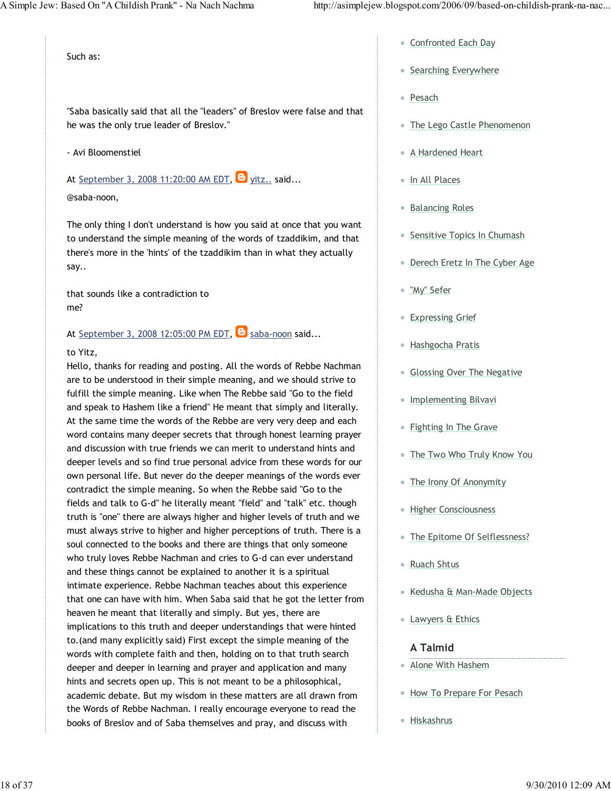Such as:

"Saba basically said that all the "leaders" of Breslov were false and that he was the only true leader of Breslov."

#### - Avi Bloomenstiel

At September 3, 2008 11:20:00 AM EDT,  $\Theta$  yitz.. said...

#### @saba-noon,

The only thing I don't understand is how you said at once that you want to understand the simple meaning of the words of tzaddikim, and that there's more in the 'hints' of the tzaddikim than in what they actually say..

that sounds like a contradiction to me?

At September 3, 2008 12:05:00 PM EDT,  $\Theta$  saba-noon said...

#### to Yitz,

Hello, thanks for reading and posting. All the words of Rebbe Nachman are to be understood in their simple meaning, and we should strive to fulfill the simple meaning. Like when The Rebbe said "Go to the field and speak to Hashem like a friend" He meant that simply and literally. At the same time the words of the Rebbe are very very deep and each word contains many deeper secrets that through honest learning prayer and discussion with true friends we can merit to understand hints and deeper levels and so find true personal advice from these words for our own personal life. But never do the deeper meanings of the words ever contradict the simple meaning. So when the Rebbe said "Go to the fields and talk to G-d" he literally meant "field" and "talk" etc. though truth is "one" there are always higher and higher levels of truth and we must always strive to higher and higher perceptions of truth. There is a soul connected to the books and there are things that only someone who truly loves Rebbe Nachman and cries to G-d can ever understand and these things cannot be explained to another it is a spiritual intimate experience. Rebbe Nachman teaches about this experience that one can have with him. When Saba said that he got the letter from heaven he meant that literally and simply. But yes, there are implications to this truth and deeper understandings that were hinted to.(and many explicitly said) First except the simple meaning of the words with complete faith and then, holding on to that truth search deeper and deeper in learning and prayer and application and many hints and secrets open up. This is not meant to be a philosophical, academic debate. But my wisdom in these matters are all drawn from the Words of Rebbe Nachman. I really encourage everyone to read the books of Breslov and of Saba themselves and pray, and discuss with

- **Confronted Each Day**
- Searching Everywhere
- Pesach
- The Lego Castle Phenomenon
- A Hardened Heart
- In All Places
- Balancing Roles
- Sensitive Topics In Chumash
- Derech Eretz In The Cyber Age
- "My" Sefer
- Expressing Grief
- Hashgocha Pratis
- **Glossing Over The Negative**
- Implementing Bilvavi
- Fighting In The Grave
- The Two Who Truly Know You
- The Irony Of Anonymity
- **Higher Consciousness**
- The Epitome Of Selflessness?
- Ruach Shtus
- Kedusha & Man-Made Objects
- Lawyers & Ethics

#### A Talmid

- Alone With Hashem
- **How To Prepare For Pesach**
- Hiskashrus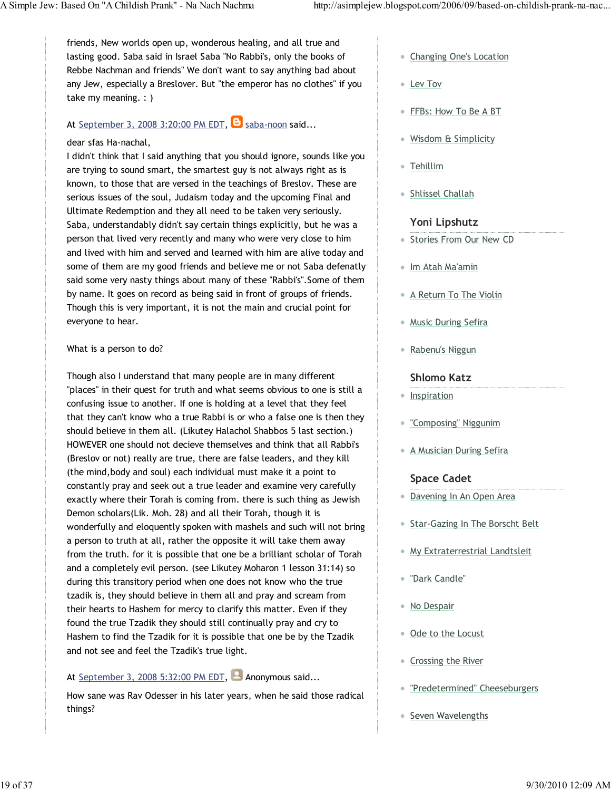friends, New worlds open up, wonderous healing, and all true and lasting good. Saba said in Israel Saba "No Rabbi's, only the books of Rebbe Nachman and friends" We don't want to say anything bad about any Jew, especially a Breslover. But "the emperor has no clothes" if you take my meaning. : )

### At September 3, 2008 3:20:00 PM EDT,  $\Theta$  saba-noon said...

#### dear sfas Ha-nachal,

I didn't think that I said anything that you should ignore, sounds like you are trying to sound smart, the smartest guy is not always right as is known, to those that are versed in the teachings of Breslov. These are serious issues of the soul, Judaism today and the upcoming Final and Ultimate Redemption and they all need to be taken very seriously. Saba, understandably didn't say certain things explicitly, but he was a person that lived very recently and many who were very close to him and lived with him and served and learned with him are alive today and some of them are my good friends and believe me or not Saba defenatly said some very nasty things about many of these "Rabbi's".Some of them by name. It goes on record as being said in front of groups of friends. Though this is very important, it is not the main and crucial point for everyone to hear.

#### What is a person to do?

Though also I understand that many people are in many different "places" in their quest for truth and what seems obvious to one is still a confusing issue to another. If one is holding at a level that they feel that they can't know who a true Rabbi is or who a false one is then they should believe in them all. (Likutey Halachol Shabbos 5 last section.) HOWEVER one should not decieve themselves and think that all Rabbi's (Breslov or not) really are true, there are false leaders, and they kill (the mind,body and soul) each individual must make it a point to constantly pray and seek out a true leader and examine very carefully exactly where their Torah is coming from. there is such thing as Jewish Demon scholars(Lik. Moh. 28) and all their Torah, though it is wonderfully and eloquently spoken with mashels and such will not bring a person to truth at all, rather the opposite it will take them away from the truth. for it is possible that one be a brilliant scholar of Torah and a completely evil person. (see Likutey Moharon 1 lesson 31:14) so during this transitory period when one does not know who the true tzadik is, they should believe in them all and pray and scream from their hearts to Hashem for mercy to clarify this matter. Even if they found the true Tzadik they should still continually pray and cry to Hashem to find the Tzadik for it is possible that one be by the Tzadik and not see and feel the Tzadik's true light.

### At September 3, 2008 5:32:00 PM EDT,  $\blacksquare$  Anonymous said...

How sane was Rav Odesser in his later years, when he said those radical things?

- Changing One's Location
- Lev Tov
- FFBs: How To Be A BT
- Wisdom & Simplicity
- Tehillim
- Shlissel Challah

### Yoni Lipshutz

- **Stories From Our New CD**
- Im Atah Ma'amin
- A Return To The Violin
- Music During Sefira
- Rabenu's Niggun

#### Shlomo Katz

- Inspiration
- "Composing" Niggunim
- **A Musician During Sefira**

### Space Cadet

- Davening In An Open Area
- **Star-Gazing In The Borscht Belt**
- **My Extraterrestrial Landtsleit**
- "Dark Candle"
- No Despair
- Ode to the Locust
- Crossing the River
- "Predetermined" Cheeseburgers
- Seven Wavelengths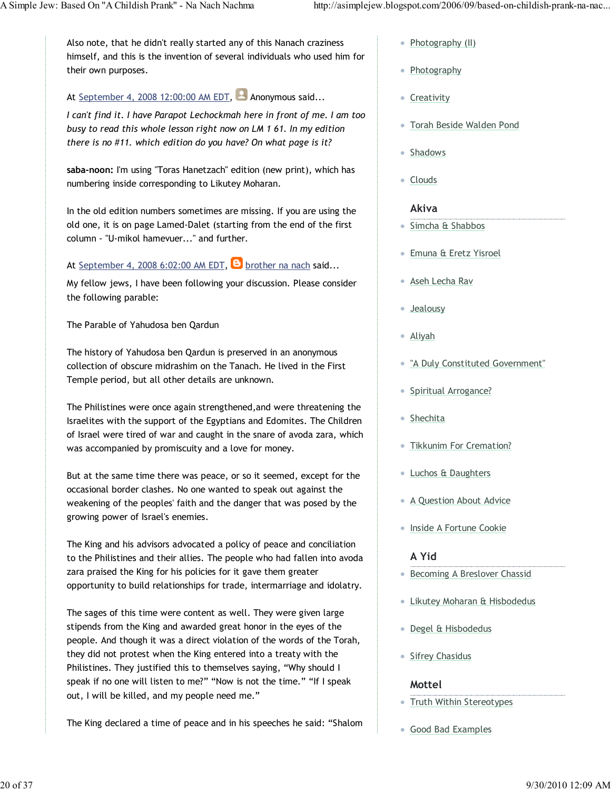Also note, that he didn't really started any of this Nanach craziness himself, and this is the invention of several individuals who used him for their own purposes.

At September 4, 2008 12:00:00 AM EDT,  $\blacksquare$  Anonymous said...

I can't find it. I have Parapot Lechockmah here in front of me. I am too busy to read this whole lesson right now on LM 1 61. In my edition there is no #11. which edition do you have? On what page is it?

saba-noon: I'm using "Toras Hanetzach" edition (new print), which has numbering inside corresponding to Likutey Moharan.

In the old edition numbers sometimes are missing. If you are using the old one, it is on page Lamed-Dalet (starting from the end of the first column - "U-mikol hamevuer..." and further.

At September 4, 2008 6:02:00 AM EDT,  $\Theta$  brother na nach said...

My fellow jews, I have been following your discussion. Please consider the following parable:

The Parable of Yahudosa ben Qardun

The history of Yahudosa ben Qardun is preserved in an anonymous collection of obscure midrashim on the Tanach. He lived in the First Temple period, but all other details are unknown.

The Philistines were once again strengthened,and were threatening the Israelites with the support of the Egyptians and Edomites. The Children of Israel were tired of war and caught in the snare of avoda zara, which was accompanied by promiscuity and a love for money.

But at the same time there was peace, or so it seemed, except for the occasional border clashes. No one wanted to speak out against the weakening of the peoples' faith and the danger that was posed by the growing power of Israel's enemies.

The King and his advisors advocated a policy of peace and conciliation to the Philistines and their allies. The people who had fallen into avoda zara praised the King for his policies for it gave them greater opportunity to build relationships for trade, intermarriage and idolatry.

The sages of this time were content as well. They were given large stipends from the King and awarded great honor in the eyes of the people. And though it was a direct violation of the words of the Torah, they did not protest when the King entered into a treaty with the Philistines. They justified this to themselves saying, "Why should I speak if no one will listen to me?" "Now is not the time." "If I speak out, I will be killed, and my people need me."

The King declared a time of peace and in his speeches he said: "Shalom

- Photography (II)
- Photography
- Creativity
- Torah Beside Walden Pond
- Shadows
- Clouds

### Akiva

- Simcha & Shabbos
- Emuna & Eretz Yisroel
- Aseh Lecha Rav
- Jealousy
- Aliyah
- "A Duly Constituted Government"
- Spiritual Arrogance?
- Shechita
- **Tikkunim For Cremation?**
- Luchos & Daughters
- A Question About Advice
- **Inside A Fortune Cookie**

### A Yid

- Becoming A Breslover Chassid
- Likutey Moharan & Hisbodedus
- **Degel & Hisbodedus**
- Sifrey Chasidus

### Mottel

- Truth Within Stereotypes
- Good Bad Examples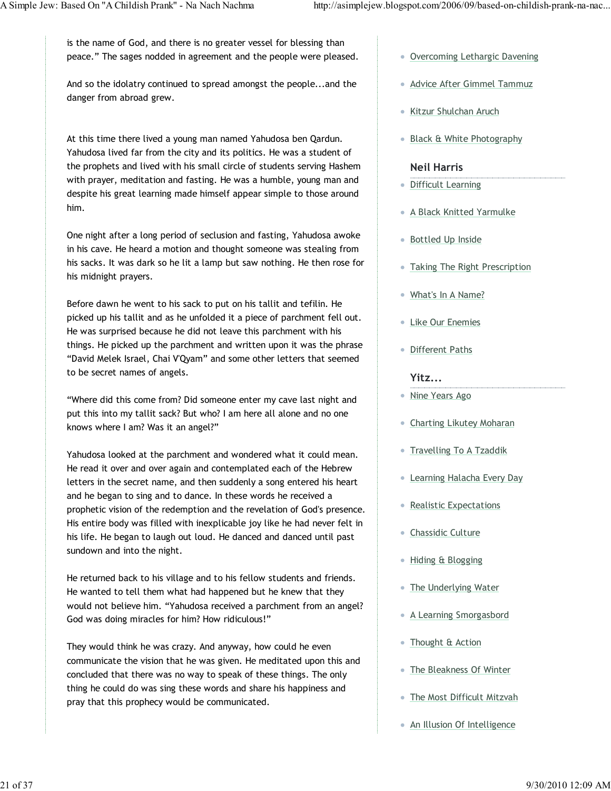is the name of God, and there is no greater vessel for blessing than peace." The sages nodded in agreement and the people were pleased.

And so the idolatry continued to spread amongst the people...and the danger from abroad grew.

At this time there lived a young man named Yahudosa ben Qardun. Yahudosa lived far from the city and its politics. He was a student of the prophets and lived with his small circle of students serving Hashem with prayer, meditation and fasting. He was a humble, young man and despite his great learning made himself appear simple to those around him.

One night after a long period of seclusion and fasting, Yahudosa awoke in his cave. He heard a motion and thought someone was stealing from his sacks. It was dark so he lit a lamp but saw nothing. He then rose for his midnight prayers.

Before dawn he went to his sack to put on his tallit and tefilin. He picked up his tallit and as he unfolded it a piece of parchment fell out. He was surprised because he did not leave this parchment with his things. He picked up the parchment and written upon it was the phrase "David Melek Israel, Chai V'Qyam" and some other letters that seemed to be secret names of angels.

"Where did this come from? Did someone enter my cave last night and put this into my tallit sack? But who? I am here all alone and no one knows where I am? Was it an angel?"

Yahudosa looked at the parchment and wondered what it could mean. He read it over and over again and contemplated each of the Hebrew letters in the secret name, and then suddenly a song entered his heart and he began to sing and to dance. In these words he received a prophetic vision of the redemption and the revelation of God's presence. His entire body was filled with inexplicable joy like he had never felt in his life. He began to laugh out loud. He danced and danced until past sundown and into the night.

He returned back to his village and to his fellow students and friends. He wanted to tell them what had happened but he knew that they would not believe him. "Yahudosa received a parchment from an angel? God was doing miracles for him? How ridiculous!"

They would think he was crazy. And anyway, how could he even communicate the vision that he was given. He meditated upon this and concluded that there was no way to speak of these things. The only thing he could do was sing these words and share his happiness and pray that this prophecy would be communicated.

- Overcoming Lethargic Davening
- Advice After Gimmel Tammuz
- Kitzur Shulchan Aruch
- Black & White Photography

#### Neil Harris

- Difficult Learning
- A Black Knitted Yarmulke
- Bottled Up Inside
- Taking The Right Prescription
- What's In A Name?
- Like Our Enemies
- Different Paths

#### Yitz...

- Nine Years Ago
- Charting Likutey Moharan
- Travelling To A Tzaddik
- Learning Halacha Every Day
- Realistic Expectations
- Chassidic Culture
- Hiding & Blogging
- The Underlying Water
- A Learning Smorgasbord
- Thought & Action
- The Bleakness Of Winter
- **The Most Difficult Mitzvah**
- An Illusion Of Intelligence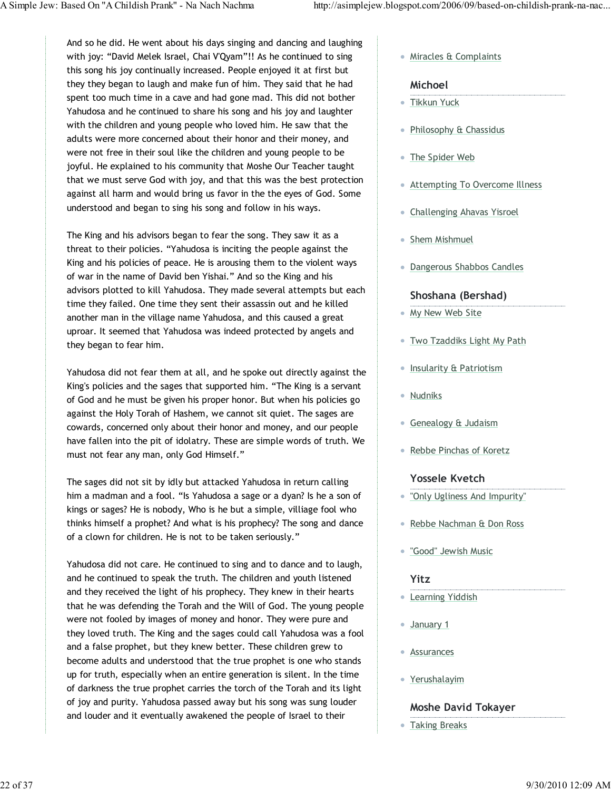And so he did. He went about his days singing and dancing and laughing with joy: "David Melek Israel, Chai V'Qyam"!! As he continued to sing this song his joy continually increased. People enjoyed it at first but they they began to laugh and make fun of him. They said that he had spent too much time in a cave and had gone mad. This did not bother Yahudosa and he continued to share his song and his joy and laughter with the children and young people who loved him. He saw that the adults were more concerned about their honor and their money, and were not free in their soul like the children and young people to be joyful. He explained to his community that Moshe Our Teacher taught that we must serve God with joy, and that this was the best protection against all harm and would bring us favor in the the eyes of God. Some understood and began to sing his song and follow in his ways.

The King and his advisors began to fear the song. They saw it as a threat to their policies. "Yahudosa is inciting the people against the King and his policies of peace. He is arousing them to the violent ways of war in the name of David ben Yishai." And so the King and his advisors plotted to kill Yahudosa. They made several attempts but each time they failed. One time they sent their assassin out and he killed another man in the village name Yahudosa, and this caused a great uproar. It seemed that Yahudosa was indeed protected by angels and they began to fear him.

Yahudosa did not fear them at all, and he spoke out directly against the King's policies and the sages that supported him. "The King is a servant of God and he must be given his proper honor. But when his policies go against the Holy Torah of Hashem, we cannot sit quiet. The sages are cowards, concerned only about their honor and money, and our people have fallen into the pit of idolatry. These are simple words of truth. We must not fear any man, only God Himself."

The sages did not sit by idly but attacked Yahudosa in return calling him a madman and a fool. "Is Yahudosa a sage or a dyan? Is he a son of kings or sages? He is nobody, Who is he but a simple, villiage fool who thinks himself a prophet? And what is his prophecy? The song and dance of a clown for children. He is not to be taken seriously."

Yahudosa did not care. He continued to sing and to dance and to laugh, and he continued to speak the truth. The children and youth listened and they received the light of his prophecy. They knew in their hearts that he was defending the Torah and the Will of God. The young people were not fooled by images of money and honor. They were pure and they loved truth. The King and the sages could call Yahudosa was a fool and a false prophet, but they knew better. These children grew to become adults and understood that the true prophet is one who stands up for truth, especially when an entire generation is silent. In the time of darkness the true prophet carries the torch of the Torah and its light of joy and purity. Yahudosa passed away but his song was sung louder and louder and it eventually awakened the people of Israel to their

Miracles & Complaints

#### Michoel

- Tikkun Yuck
- Philosophy & Chassidus
- The Spider Web
- Attempting To Overcome Illness
- Challenging Ahavas Yisroel
- Shem Mishmuel
- Dangerous Shabbos Candles

#### Shoshana (Bershad)

- My New Web Site
- Two Tzaddiks Light My Path
- **Insularity & Patriotism**
- Nudniks
- Genealogy & Judaism
- Rebbe Pinchas of Koretz

#### Yossele Kvetch

- "Only Ugliness And Impurity"
- Rebbe Nachman & Don Ross
- "Good" Jewish Music

### Yitz

- **Learning Yiddish**
- January 1
- **Assurances**
- Yerushalayim

### Moshe David Tokayer

Taking Breaks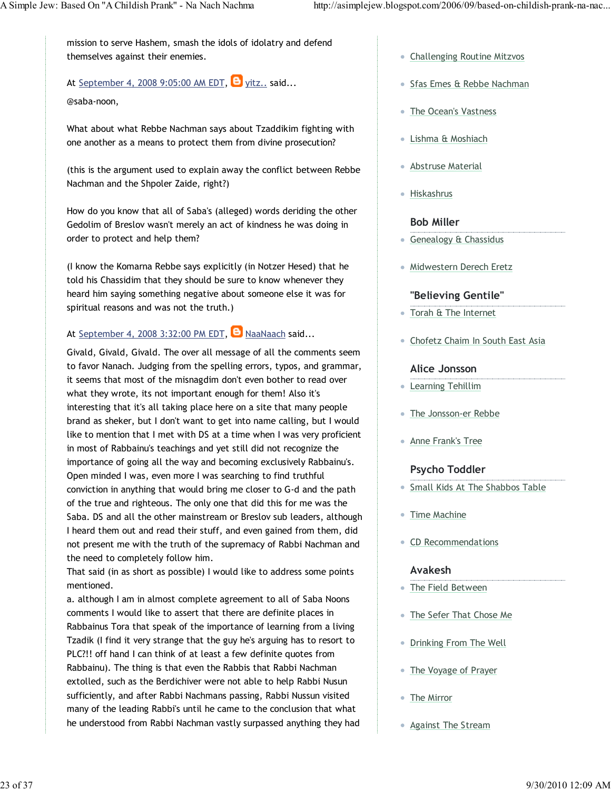mission to serve Hashem, smash the idols of idolatry and defend themselves against their enemies.

### At September 4, 2008 9:05:00 AM EDT,  $\Theta$  yitz.. said...

@saba-noon,

What about what Rebbe Nachman says about Tzaddikim fighting with one another as a means to protect them from divine prosecution?

(this is the argument used to explain away the conflict between Rebbe Nachman and the Shpoler Zaide, right?)

How do you know that all of Saba's (alleged) words deriding the other Gedolim of Breslov wasn't merely an act of kindness he was doing in order to protect and help them?

(I know the Komarna Rebbe says explicitly (in Notzer Hesed) that he told his Chassidim that they should be sure to know whenever they heard him saying something negative about someone else it was for spiritual reasons and was not the truth.)

### At September 4, 2008 3:32:00 PM EDT,  $\Theta$  NaaNaach said...

Givald, Givald, Givald. The over all message of all the comments seem to favor Nanach. Judging from the spelling errors, typos, and grammar, it seems that most of the misnagdim don't even bother to read over what they wrote, its not important enough for them! Also it's interesting that it's all taking place here on a site that many people brand as sheker, but I don't want to get into name calling, but I would like to mention that I met with DS at a time when I was very proficient in most of Rabbainu's teachings and yet still did not recognize the importance of going all the way and becoming exclusively Rabbainu's. Open minded I was, even more I was searching to find truthful conviction in anything that would bring me closer to G-d and the path of the true and righteous. The only one that did this for me was the Saba. DS and all the other mainstream or Breslov sub leaders, although I heard them out and read their stuff, and even gained from them, did not present me with the truth of the supremacy of Rabbi Nachman and the need to completely follow him.

That said (in as short as possible) I would like to address some points mentioned.

a. although I am in almost complete agreement to all of Saba Noons comments I would like to assert that there are definite places in Rabbainus Tora that speak of the importance of learning from a living Tzadik (I find it very strange that the guy he's arguing has to resort to PLC?!! off hand I can think of at least a few definite quotes from Rabbainu). The thing is that even the Rabbis that Rabbi Nachman extolled, such as the Berdichiver were not able to help Rabbi Nusun sufficiently, and after Rabbi Nachmans passing, Rabbi Nussun visited many of the leading Rabbi's until he came to the conclusion that what he understood from Rabbi Nachman vastly surpassed anything they had

- Challenging Routine Mitzvos
- Sfas Emes & Rebbe Nachman
- The Ocean's Vastness
- Lishma & Moshiach
- Abstruse Material
- Hiskashrus

### Bob Miller

- **Genealogy & Chassidus**
- Midwestern Derech Eretz

### "Believing Gentile"

- Torah & The Internet
- Chofetz Chaim In South East Asia

#### Alice Jonsson

- Learning Tehillim
- The Jonsson-er Rebbe
- **Anne Frank's Tree**

### Psycho Toddler

- **Small Kids At The Shabbos Table**
- Time Machine
- CD Recommendations

### Avakesh

- The Field Between
- The Sefer That Chose Me
- Drinking From The Well
- The Voyage of Prayer
- The Mirror
- Against The Stream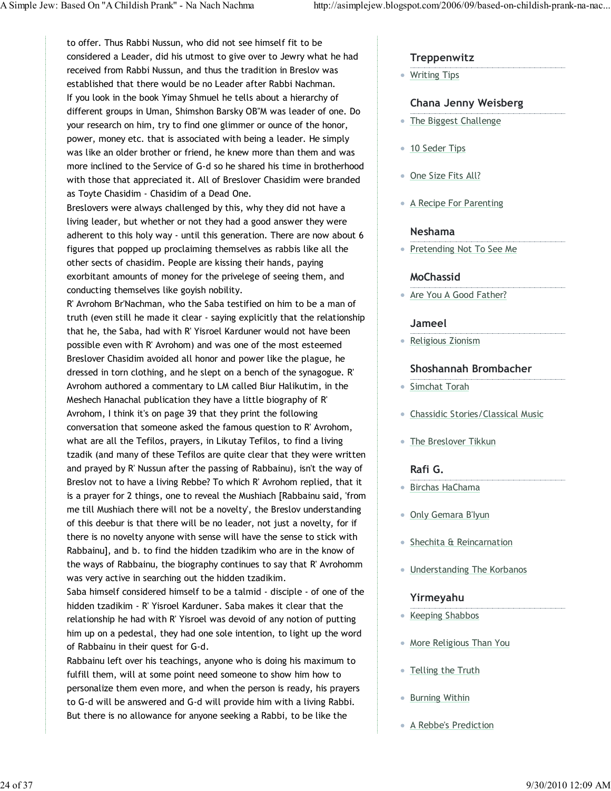to offer. Thus Rabbi Nussun, who did not see himself fit to be considered a Leader, did his utmost to give over to Jewry what he had received from Rabbi Nussun, and thus the tradition in Breslov was established that there would be no Leader after Rabbi Nachman. If you look in the book Yimay Shmuel he tells about a hierarchy of different groups in Uman, Shimshon Barsky OB"M was leader of one. Do your research on him, try to find one glimmer or ounce of the honor, power, money etc. that is associated with being a leader. He simply was like an older brother or friend, he knew more than them and was more inclined to the Service of G-d so he shared his time in brotherhood with those that appreciated it. All of Breslover Chasidim were branded as Toyte Chasidim - Chasidim of a Dead One.

Breslovers were always challenged by this, why they did not have a living leader, but whether or not they had a good answer they were adherent to this holy way - until this generation. There are now about 6 figures that popped up proclaiming themselves as rabbis like all the other sects of chasidim. People are kissing their hands, paying exorbitant amounts of money for the privelege of seeing them, and conducting themselves like goyish nobility.

R' Avrohom Br'Nachman, who the Saba testified on him to be a man of truth (even still he made it clear - saying explicitly that the relationship that he, the Saba, had with R' Yisroel Karduner would not have been possible even with R' Avrohom) and was one of the most esteemed Breslover Chasidim avoided all honor and power like the plague, he dressed in torn clothing, and he slept on a bench of the synagogue. R' Avrohom authored a commentary to LM called Biur Halikutim, in the Meshech Hanachal publication they have a little biography of R' Avrohom, I think it's on page 39 that they print the following conversation that someone asked the famous question to R' Avrohom, what are all the Tefilos, prayers, in Likutay Tefilos, to find a living tzadik (and many of these Tefilos are quite clear that they were written and prayed by R' Nussun after the passing of Rabbainu), isn't the way of Breslov not to have a living Rebbe? To which R' Avrohom replied, that it is a prayer for 2 things, one to reveal the Mushiach [Rabbainu said, 'from me till Mushiach there will not be a novelty', the Breslov understanding of this deebur is that there will be no leader, not just a novelty, for if there is no novelty anyone with sense will have the sense to stick with Rabbainu], and b. to find the hidden tzadikim who are in the know of the ways of Rabbainu, the biography continues to say that R' Avrohomm was very active in searching out the hidden tzadikim.

Saba himself considered himself to be a talmid - disciple - of one of the hidden tzadikim - R' Yisroel Karduner. Saba makes it clear that the relationship he had with R' Yisroel was devoid of any notion of putting him up on a pedestal, they had one sole intention, to light up the word of Rabbainu in their quest for G-d.

Rabbainu left over his teachings, anyone who is doing his maximum to fulfill them, will at some point need someone to show him how to personalize them even more, and when the person is ready, his prayers to G-d will be answered and G-d will provide him with a living Rabbi. But there is no allowance for anyone seeking a Rabbi, to be like the

### **Treppenwitz**

• Writing Tips

#### Chana Jenny Weisberg

- The Biggest Challenge
- 10 Seder Tips
- One Size Fits All?
- A Recipe For Parenting

#### Neshama

• Pretending Not To See Me

#### MoChassid

• Are You A Good Father?

#### Jameel

Religious Zionism

#### Shoshannah Brombacher

- Simchat Torah
- Chassidic Stories/Classical Music
- The Breslover Tikkun

#### Rafi G.

- Birchas HaChama
- Only Gemara B'Iyun
- Shechita & Reincarnation
- Understanding The Korbanos

#### Yirmeyahu

- Keeping Shabbos
- More Religious Than You
- Telling the Truth
- Burning Within
- A Rebbe's Prediction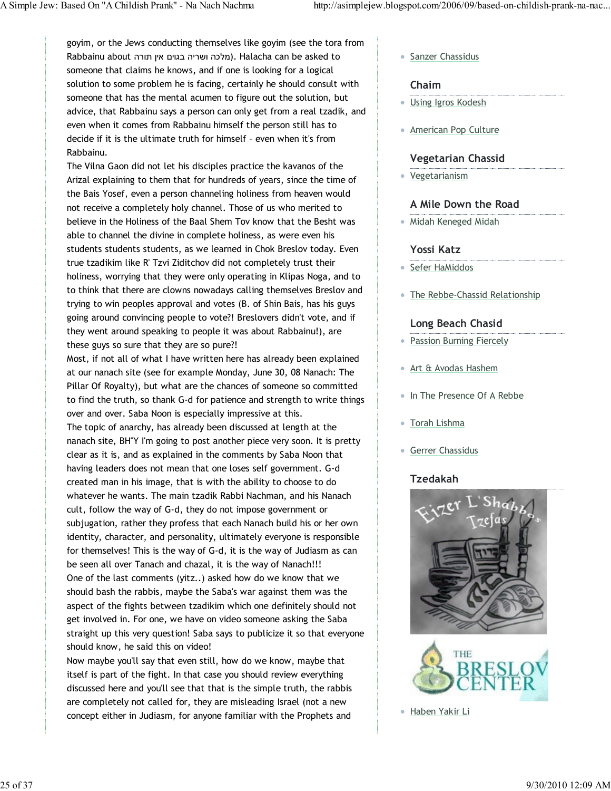goyim, or the Jews conducting themselves like goyim (see the tora from Rabbainu about מלכה ושריה בגוים אין תורה). Halacha can be asked to someone that claims he knows, and if one is looking for a logical solution to some problem he is facing, certainly he should consult with someone that has the mental acumen to figure out the solution, but advice, that Rabbainu says a person can only get from a real tzadik, and even when it comes from Rabbainu himself the person still has to decide if it is the ultimate truth for himself – even when it's from Rabbainu.

The Vilna Gaon did not let his disciples practice the kavanos of the Arizal explaining to them that for hundreds of years, since the time of the Bais Yosef, even a person channeling holiness from heaven would not receive a completely holy channel. Those of us who merited to believe in the Holiness of the Baal Shem Tov know that the Besht was able to channel the divine in complete holiness, as were even his students students students, as we learned in Chok Breslov today. Even true tzadikim like R' Tzvi Ziditchov did not completely trust their holiness, worrying that they were only operating in Klipas Noga, and to to think that there are clowns nowadays calling themselves Breslov and trying to win peoples approval and votes (B. of Shin Bais, has his guys going around convincing people to vote?! Breslovers didn't vote, and if they went around speaking to people it was about Rabbainu!), are these guys so sure that they are so pure?!

Most, if not all of what I have written here has already been explained at our nanach site (see for example Monday, June 30, 08 Nanach: The Pillar Of Royalty), but what are the chances of someone so committed to find the truth, so thank G-d for patience and strength to write things over and over. Saba Noon is especially impressive at this. The topic of anarchy, has already been discussed at length at the nanach site, BH"Y I'm going to post another piece very soon. It is pretty clear as it is, and as explained in the comments by Saba Noon that having leaders does not mean that one loses self government. G-d created man in his image, that is with the ability to choose to do whatever he wants. The main tzadik Rabbi Nachman, and his Nanach cult, follow the way of G-d, they do not impose government or subjugation, rather they profess that each Nanach build his or her own identity, character, and personality, ultimately everyone is responsible for themselves! This is the way of G-d, it is the way of Judiasm as can be seen all over Tanach and chazal, it is the way of Nanach!!! One of the last comments (yitz..) asked how do we know that we should bash the rabbis, maybe the Saba's war against them was the aspect of the fights between tzadikim which one definitely should not get involved in. For one, we have on video someone asking the Saba straight up this very question! Saba says to publicize it so that everyone should know, he said this on video!

Now maybe you'll say that even still, how do we know, maybe that itself is part of the fight. In that case you should review everything discussed here and you'll see that that is the simple truth, the rabbis are completely not called for, they are misleading Israel (not a new concept either in Judiasm, for anyone familiar with the Prophets and

**Sanzer Chassidus** 

#### Chaim

- Using Igros Kodesh
- American Pop Culture

#### Vegetarian Chassid

Vegetarianism

### A Mile Down the Road

Midah Keneged Midah

#### Yossi Katz

- Sefer HaMiddos
- The Rebbe-Chassid Relationship

#### Long Beach Chasid

- Passion Burning Fiercely
- Art & Avodas Hashem
- In The Presence Of A Rebbe
- Torah Lishma
- Gerrer Chassidus

### Tzedakah



Haben Yakir Li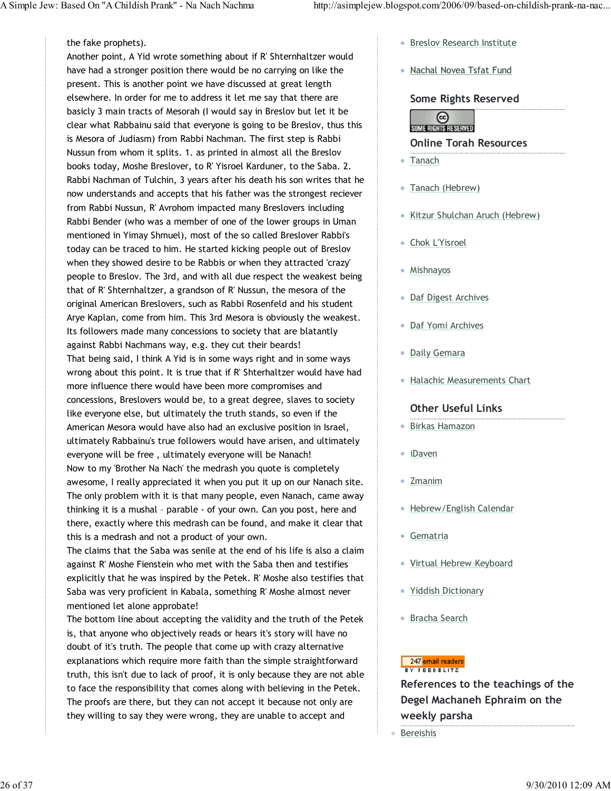#### the fake prophets).

Another point, A Yid wrote something about if R' Shternhaltzer would have had a stronger position there would be no carrying on like the present. This is another point we have discussed at great length elsewhere. In order for me to address it let me say that there are basicly 3 main tracts of Mesorah (I would say in Breslov but let it be clear what Rabbainu said that everyone is going to be Breslov, thus this is Mesora of Judiasm) from Rabbi Nachman. The first step is Rabbi Nussun from whom it splits. 1. as printed in almost all the Breslov books today, Moshe Breslover, to R' Yisroel Karduner, to the Saba. 2. Rabbi Nachman of Tulchin, 3 years after his death his son writes that he now understands and accepts that his father was the strongest reciever from Rabbi Nussun, R' Avrohom impacted many Breslovers including Rabbi Bender (who was a member of one of the lower groups in Uman mentioned in Yimay Shmuel), most of the so called Breslover Rabbi's today can be traced to him. He started kicking people out of Breslov when they showed desire to be Rabbis or when they attracted 'crazy' people to Breslov. The 3rd, and with all due respect the weakest being that of R' Shternhaltzer, a grandson of R' Nussun, the mesora of the original American Breslovers, such as Rabbi Rosenfeld and his student Arye Kaplan, come from him. This 3rd Mesora is obviously the weakest. Its followers made many concessions to society that are blatantly against Rabbi Nachmans way, e.g. they cut their beards! That being said, I think A Yid is in some ways right and in some ways wrong about this point. It is true that if R' Shterhaltzer would have had more influence there would have been more compromises and concessions, Breslovers would be, to a great degree, slaves to society like everyone else, but ultimately the truth stands, so even if the American Mesora would have also had an exclusive position in Israel, ultimately Rabbainu's true followers would have arisen, and ultimately everyone will be free , ultimately everyone will be Nanach! Now to my 'Brother Na Nach' the medrash you quote is completely awesome, I really appreciated it when you put it up on our Nanach site. The only problem with it is that many people, even Nanach, came away thinking it is a mushal – parable - of your own. Can you post, here and there, exactly where this medrash can be found, and make it clear that this is a medrash and not a product of your own.

The claims that the Saba was senile at the end of his life is also a claim against R' Moshe Fienstein who met with the Saba then and testifies explicitly that he was inspired by the Petek. R' Moshe also testifies that Saba was very proficient in Kabala, something R' Moshe almost never mentioned let alone approbate!

The bottom line about accepting the validity and the truth of the Petek is, that anyone who objectively reads or hears it's story will have no doubt of it's truth. The people that come up with crazy alternative explanations which require more faith than the simple straightforward truth, this isn't due to lack of proof, it is only because they are not able to face the responsibility that comes along with believing in the Petek. The proofs are there, but they can not accept it because not only are they willing to say they were wrong, they are unable to accept and

- **Breslov Research Institute**
- Nachal Novea Tsfat Fund

Some Rights Reserved



Online Torah Resources

- Tanach
- Tanach (Hebrew)
- Kitzur Shulchan Aruch (Hebrew)
- Chok L'Yisroel
- Mishnayos
- Daf Digest Archives
- Daf Yomi Archives
- Daily Gemara
- Halachic Measurements Chart

### Other Useful Links

- Birkas Hamazon
- iDaven
- Zmanim
- Hebrew/English Calendar
- Gematria
- Virtual Hebrew Keyboard
- Yiddish Dictionary
- Bracha Search

#### 247 email readers BY FEEDBLITZ

References to the teachings of the Degel Machaneh Ephraim on the weekly parsha

● Bereishis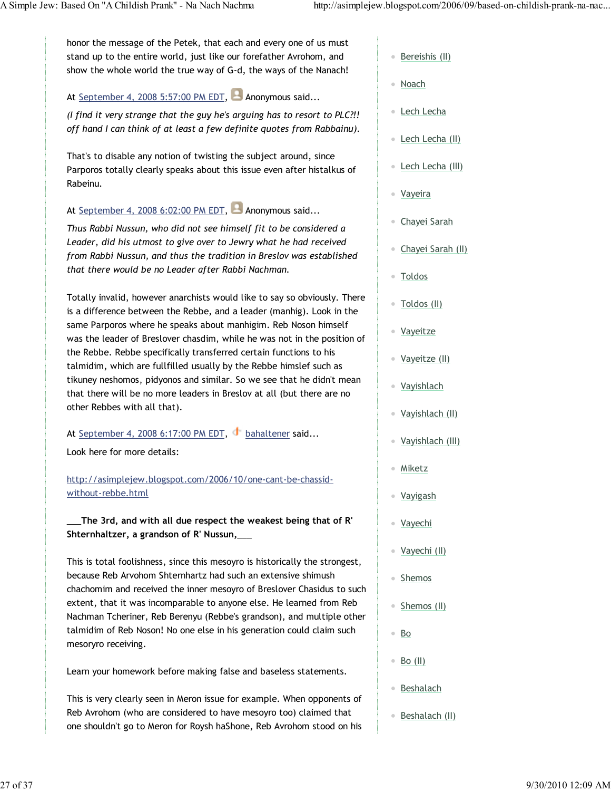honor the message of the Petek, that each and every one of us must stand up to the entire world, just like our forefather Avrohom, and show the whole world the true way of G-d, the ways of the Nanach!

At September 4, 2008 5:57:00 PM EDT, **Anonymous said...** 

(I find it very strange that the guy he's arguing has to resort to PLC?!! off hand I can think of at least a few definite quotes from Rabbainu).

That's to disable any notion of twisting the subject around, since Parporos totally clearly speaks about this issue even after histalkus of Rabeinu.

At September 4, 2008 6:02:00 PM EDT, **A**nonymous said...

Thus Rabbi Nussun, who did not see himself fit to be considered a Leader, did his utmost to give over to Jewry what he had received from Rabbi Nussun, and thus the tradition in Breslov was established that there would be no Leader after Rabbi Nachman.

Totally invalid, however anarchists would like to say so obviously. There is a difference between the Rebbe, and a leader (manhig). Look in the same Parporos where he speaks about manhigim. Reb Noson himself was the leader of Breslover chasdim, while he was not in the position of the Rebbe. Rebbe specifically transferred certain functions to his talmidim, which are fullfilled usually by the Rebbe himslef such as tikuney neshomos, pidyonos and similar. So we see that he didn't mean that there will be no more leaders in Breslov at all (but there are no other Rebbes with all that).

At September 4, 2008 6:17:00 PM EDT, bahaltener said...

Look here for more details:

http://asimplejew.blogspot.com/2006/10/one-cant-be-chassidwithout-rebbe.html

\_\_\_The 3rd, and with all due respect the weakest being that of R' Shternhaltzer, a grandson of R' Nussun,\_\_\_

This is total foolishness, since this mesoyro is historically the strongest, because Reb Arvohom Shternhartz had such an extensive shimush chachomim and received the inner mesoyro of Breslover Chasidus to such extent, that it was incomparable to anyone else. He learned from Reb Nachman Tcheriner, Reb Berenyu (Rebbe's grandson), and multiple other talmidim of Reb Noson! No one else in his generation could claim such mesoryro receiving.

Learn your homework before making false and baseless statements.

This is very clearly seen in Meron issue for example. When opponents of Reb Avrohom (who are considered to have mesoyro too) claimed that one shouldn't go to Meron for Roysh haShone, Reb Avrohom stood on his

- Bereishis (II)
- Noach
- Lech Lecha
- Lech Lecha (II)
- <u>Lech Lecha (III)</u>
- Vayeira
- Chayei Sarah
- Chayei Sarah (II)
- Toldos
- Toldos (II)
- Vayeitze
- Vayeitze (II)
- Vayishlach
- Vayishlach (II)
- Vayishlach (III)
- Miketz
- Vayigash
- Vayechi
- Vayechi (II)
- Shemos
- Shemos (II)
- Bo
- $B_0$  (II)
- Beshalach
- Beshalach (II)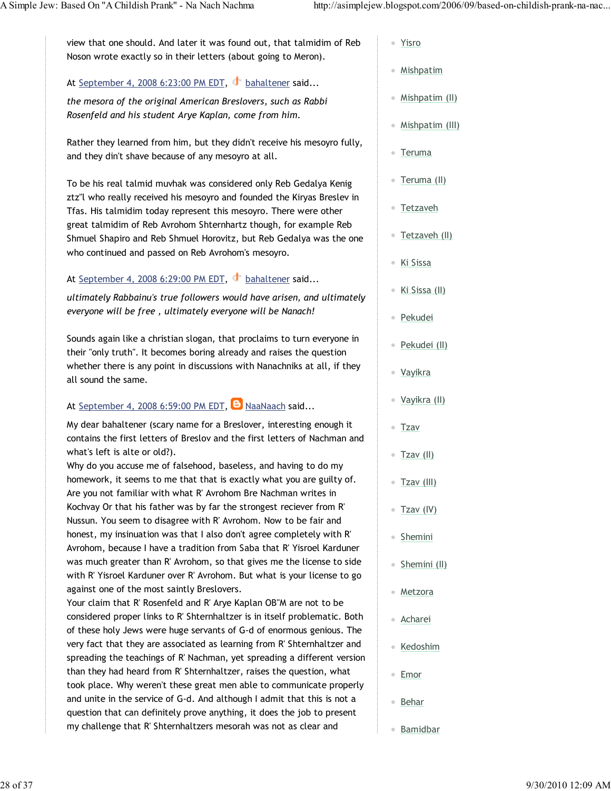view that one should. And later it was found out, that talmidim of Reb Noson wrote exactly so in their letters (about going to Meron).

At September 4, 2008 6:23:00 PM EDT, bahaltener said...

the mesora of the original American Breslovers, such as Rabbi Rosenfeld and his student Arye Kaplan, come from him.

Rather they learned from him, but they didn't receive his mesoyro fully, and they din't shave because of any mesoyro at all.

To be his real talmid muvhak was considered only Reb Gedalya Kenig ztz"l who really received his mesoyro and founded the Kiryas Breslev in Tfas. His talmidim today represent this mesoyro. There were other great talmidim of Reb Avrohom Shternhartz though, for example Reb Shmuel Shapiro and Reb Shmuel Horovitz, but Reb Gedalya was the one who continued and passed on Reb Avrohom's mesoyro.

### At September 4, 2008 6:29:00 PM EDT,  $\bullet$  bahaltener said...

ultimately Rabbainu's true followers would have arisen, and ultimately everyone will be free , ultimately everyone will be Nanach!

Sounds again like a christian slogan, that proclaims to turn everyone in their "only truth". It becomes boring already and raises the question whether there is any point in discussions with Nanachniks at all, if they all sound the same.

## At September 4, 2008 6:59:00 PM EDT, **B** NaaNaach said...

My dear bahaltener (scary name for a Breslover, interesting enough it contains the first letters of Breslov and the first letters of Nachman and what's left is alte or old?).

Why do you accuse me of falsehood, baseless, and having to do my homework, it seems to me that that is exactly what you are guilty of. Are you not familiar with what R' Avrohom Bre Nachman writes in Kochvay Or that his father was by far the strongest reciever from R' Nussun. You seem to disagree with R' Avrohom. Now to be fair and honest, my insinuation was that I also don't agree completely with R' Avrohom, because I have a tradition from Saba that R' Yisroel Karduner was much greater than R' Avrohom, so that gives me the license to side with R' Yisroel Karduner over R' Avrohom. But what is your license to go against one of the most saintly Breslovers.

Your claim that R' Rosenfeld and R' Arye Kaplan OB"M are not to be considered proper links to R' Shternhaltzer is in itself problematic. Both of these holy Jews were huge servants of G-d of enormous genious. The very fact that they are associated as learning from R' Shternhaltzer and spreading the teachings of R' Nachman, yet spreading a different version than they had heard from R' Shternhaltzer, raises the question, what took place. Why weren't these great men able to communicate properly and unite in the service of G-d. And although I admit that this is not a question that can definitely prove anything, it does the job to present my challenge that R' Shternhaltzers mesorah was not as clear and

- Yisro
- Mishpatim
- Mishpatim (II)
- Mishpatim (III)
- Teruma
- Teruma (II)
- Tetzaveh
- Tetzaveh (II)
- Ki Sissa
- Ki Sissa (II)
- Pekudei
- Pekudei (II)
- Vayikra
- Vayikra (II)
- Tzav
- $\bullet$  Tzav (II)
- Tzav (III)
- Tzav (IV)
- Shemini
- Shemini (II)
- Metzora
- Acharei
- Kedoshim
- Emor
- Behar
- Bamidbar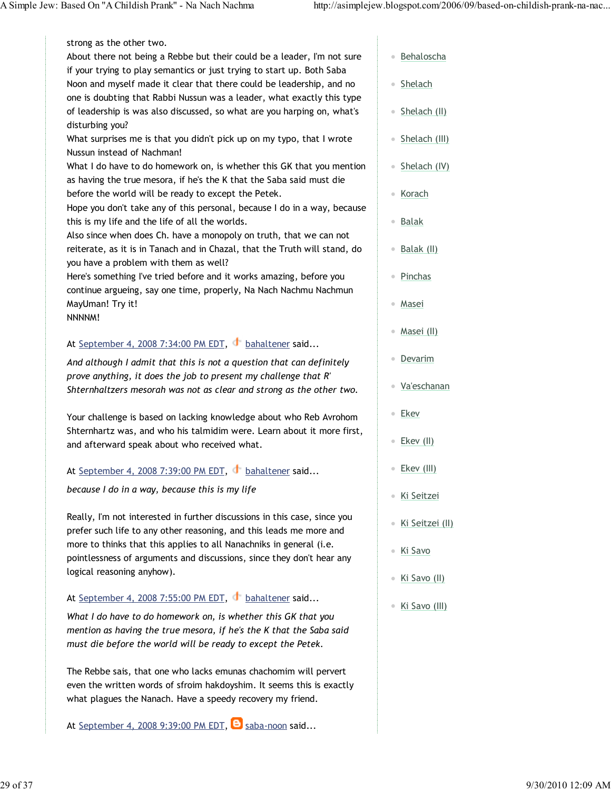| strong as the other two.                                                   |            |
|----------------------------------------------------------------------------|------------|
| About there not being a Rebbe but their could be a leader, I'm not sure    | Beh        |
| if your trying to play semantics or just trying to start up. Both Saba     |            |
| Noon and myself made it clear that there could be leadership, and no       | She        |
| one is doubting that Rabbi Nussun was a leader, what exactly this type     |            |
| of leadership is was also discussed, so what are you harping on, what's    | She        |
| disturbing you?                                                            |            |
| What surprises me is that you didn't pick up on my typo, that I wrote      | She        |
| Nussun instead of Nachman!                                                 |            |
| What I do have to do homework on, is whether this GK that you mention      | She        |
| as having the true mesora, if he's the K that the Saba said must die       |            |
| before the world will be ready to except the Petek.                        | Kor        |
| Hope you don't take any of this personal, because I do in a way, because   |            |
| this is my life and the life of all the worlds.                            | <b>Bal</b> |
| Also since when does Ch. have a monopoly on truth, that we can not         |            |
| reiterate, as it is in Tanach and in Chazal, that the Truth will stand, do | Bal        |
| you have a problem with them as well?                                      |            |
| Here's something I've tried before and it works amazing, before you        | Pin        |
| continue argueing, say one time, properly, Na Nach Nachmu Nachmun          |            |
| MayUman! Try it!                                                           | Mas        |
| NNNNM!                                                                     |            |
|                                                                            | Mas        |
| At September 4, 2008 7:34:00 PM EDT, bahaltener said                       |            |
| And although I admit that this is not a question that can definitely       | <b>Dev</b> |
| prove anything, it does the job to present my challenge that R'            |            |
|                                                                            | 1.1.1      |

Your challenge is based on lacking knowledge about who Reb Avrohom Shternhartz was, and who his talmidim were. Learn about it more first, and afterward speak about who received what.

Shternhaltzers mesorah was not as clear and strong as the other two.

### At September 4, 2008 7:39:00 PM EDT, bahaltener said...

because I do in a way, because this is my life

Really, I'm not interested in further discussions in this case, since you prefer such life to any other reasoning, and this leads me more and more to thinks that this applies to all Nanachniks in general (i.e. pointlessness of arguments and discussions, since they don't hear any logical reasoning anyhow).

### At September 4, 2008 7:55:00 PM EDT, bahaltener said...

What I do have to do homework on, is whether this GK that you mention as having the true mesora, if he's the K that the Saba said must die before the world will be ready to except the Petek.

The Rebbe sais, that one who lacks emunas chachomim will pervert even the written words of sfroim hakdoyshim. It seems this is exactly what plagues the Nanach. Have a speedy recovery my friend.

At September 4, 2008 9:39:00 PM EDT,  $\Theta$  saba-noon said...

- haloscha
- elach
- elach (II)
- elach (III)
- <u>elach (IV)</u>
- ach
- ak
- <u>ak (II)</u>
- chas
- sei
- sei (II)
- Devarim
- Va'eschanan
- Ekev
- Ekev (II)
- Ekev (III)
- Ki Seitzei
- Ki Seitzei (II)
- Ki Savo
- Ki Savo (II)
- Ki Savo (III)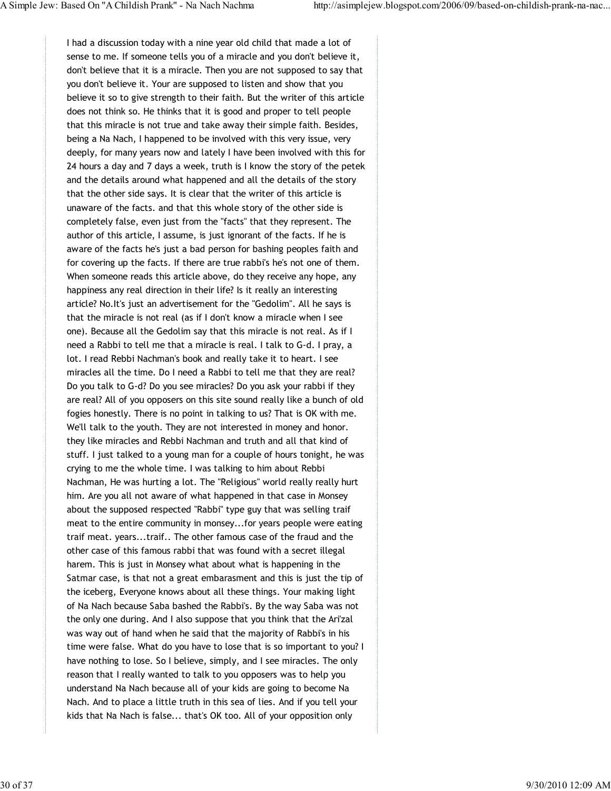I had a discussion today with a nine year old child that made a lot of sense to me. If someone tells you of a miracle and you don't believe it, don't believe that it is a miracle. Then you are not supposed to say that you don't believe it. Your are supposed to listen and show that you believe it so to give strength to their faith. But the writer of this article does not think so. He thinks that it is good and proper to tell people that this miracle is not true and take away their simple faith. Besides, being a Na Nach, I happened to be involved with this very issue, very deeply, for many years now and lately I have been involved with this for 24 hours a day and 7 days a week, truth is I know the story of the petek and the details around what happened and all the details of the story that the other side says. It is clear that the writer of this article is unaware of the facts. and that this whole story of the other side is completely false, even just from the "facts" that they represent. The author of this article, I assume, is just ignorant of the facts. If he is aware of the facts he's just a bad person for bashing peoples faith and for covering up the facts. If there are true rabbi's he's not one of them. When someone reads this article above, do they receive any hope, any happiness any real direction in their life? Is it really an interesting article? No.It's just an advertisement for the "Gedolim". All he says is that the miracle is not real (as if I don't know a miracle when I see one). Because all the Gedolim say that this miracle is not real. As if I need a Rabbi to tell me that a miracle is real. I talk to G-d. I pray, a lot. I read Rebbi Nachman's book and really take it to heart. I see miracles all the time. Do I need a Rabbi to tell me that they are real? Do you talk to G-d? Do you see miracles? Do you ask your rabbi if they are real? All of you opposers on this site sound really like a bunch of old fogies honestly. There is no point in talking to us? That is OK with me. We'll talk to the youth. They are not interested in money and honor. they like miracles and Rebbi Nachman and truth and all that kind of stuff. I just talked to a young man for a couple of hours tonight, he was crying to me the whole time. I was talking to him about Rebbi Nachman, He was hurting a lot. The "Religious" world really really hurt him. Are you all not aware of what happened in that case in Monsey about the supposed respected "Rabbi" type guy that was selling traif meat to the entire community in monsey...for years people were eating traif meat. years...traif.. The other famous case of the fraud and the other case of this famous rabbi that was found with a secret illegal harem. This is just in Monsey what about what is happening in the Satmar case, is that not a great embarasment and this is just the tip of the iceberg, Everyone knows about all these things. Your making light of Na Nach because Saba bashed the Rabbi's. By the way Saba was not the only one during. And I also suppose that you think that the Ari'zal was way out of hand when he said that the majority of Rabbi's in his time were false. What do you have to lose that is so important to you? I have nothing to lose. So I believe, simply, and I see miracles. The only reason that I really wanted to talk to you opposers was to help you understand Na Nach because all of your kids are going to become Na Nach. And to place a little truth in this sea of lies. And if you tell your kids that Na Nach is false... that's OK too. All of your opposition only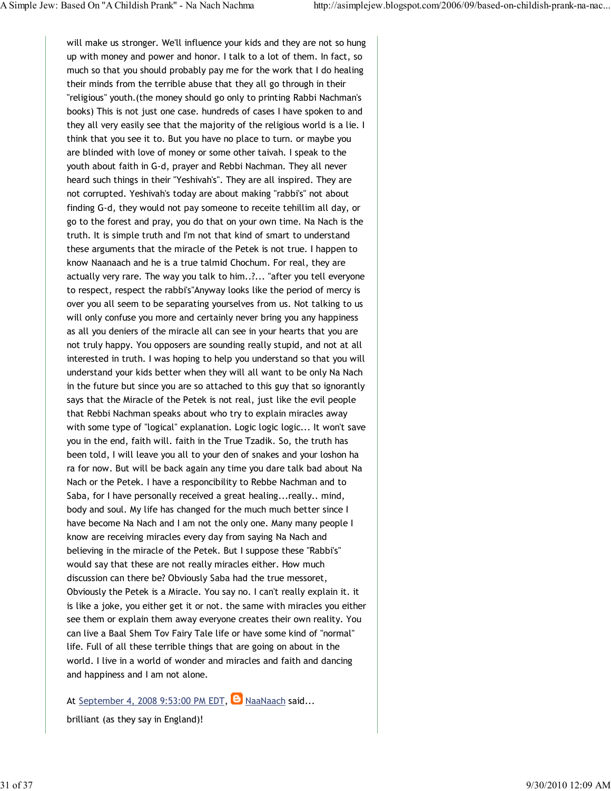will make us stronger. We'll influence your kids and they are not so hung up with money and power and honor. I talk to a lot of them. In fact, so much so that you should probably pay me for the work that I do healing their minds from the terrible abuse that they all go through in their "religious" youth.(the money should go only to printing Rabbi Nachman's books) This is not just one case. hundreds of cases I have spoken to and they all very easily see that the majority of the religious world is a lie. I think that you see it to. But you have no place to turn. or maybe you are blinded with love of money or some other taivah. I speak to the youth about faith in G-d, prayer and Rebbi Nachman. They all never heard such things in their "Yeshivah's". They are all inspired. They are not corrupted. Yeshivah's today are about making "rabbi's" not about finding G-d, they would not pay someone to receite tehillim all day, or go to the forest and pray, you do that on your own time. Na Nach is the truth. It is simple truth and I'm not that kind of smart to understand these arguments that the miracle of the Petek is not true. I happen to know Naanaach and he is a true talmid Chochum. For real, they are actually very rare. The way you talk to him..?... "after you tell everyone to respect, respect the rabbi's"Anyway looks like the period of mercy is over you all seem to be separating yourselves from us. Not talking to us will only confuse you more and certainly never bring you any happiness as all you deniers of the miracle all can see in your hearts that you are not truly happy. You opposers are sounding really stupid, and not at all interested in truth. I was hoping to help you understand so that you will understand your kids better when they will all want to be only Na Nach in the future but since you are so attached to this guy that so ignorantly says that the Miracle of the Petek is not real, just like the evil people that Rebbi Nachman speaks about who try to explain miracles away with some type of "logical" explanation. Logic logic logic... It won't save you in the end, faith will. faith in the True Tzadik. So, the truth has been told, I will leave you all to your den of snakes and your loshon ha ra for now. But will be back again any time you dare talk bad about Na Nach or the Petek. I have a responcibility to Rebbe Nachman and to Saba, for I have personally received a great healing...really.. mind, body and soul. My life has changed for the much much better since I have become Na Nach and I am not the only one. Many many people I know are receiving miracles every day from saying Na Nach and believing in the miracle of the Petek. But I suppose these "Rabbi's" would say that these are not really miracles either. How much discussion can there be? Obviously Saba had the true messoret, Obviously the Petek is a Miracle. You say no. I can't really explain it. it is like a joke, you either get it or not. the same with miracles you either see them or explain them away everyone creates their own reality. You can live a Baal Shem Tov Fairy Tale life or have some kind of "normal" life. Full of all these terrible things that are going on about in the world. I live in a world of wonder and miracles and faith and dancing and happiness and I am not alone.

At September 4, 2008 9:53:00 PM EDT,  $\Theta$  NaaNaach said...

brilliant (as they say in England)!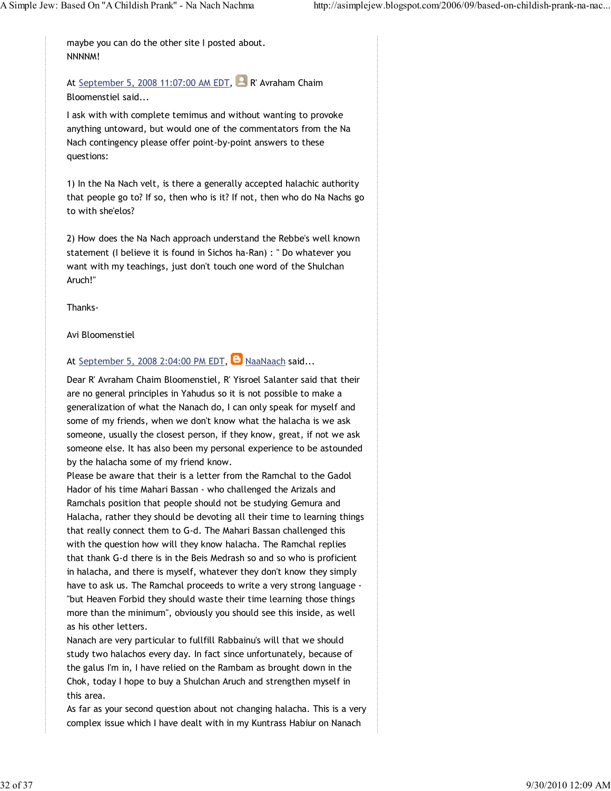maybe you can do the other site I posted about. NNNNM!

At September 5, 2008 11:07:00 AM EDT, R' Avraham Chaim Bloomenstiel said...

I ask with with complete temimus and without wanting to provoke anything untoward, but would one of the commentators from the Na Nach contingency please offer point-by-point answers to these questions:

1) In the Na Nach velt, is there a generally accepted halachic authority that people go to? If so, then who is it? If not, then who do Na Nachs go to with she'elos?

2) How does the Na Nach approach understand the Rebbe's well known statement (I believe it is found in Sichos ha-Ran) : " Do whatever you want with my teachings, just don't touch one word of the Shulchan Aruch!"

Thanks-

Avi Bloomenstiel

### At September 5, 2008 2:04:00 PM EDT,  $\Theta$  NaaNaach said...

Dear R' Avraham Chaim Bloomenstiel, R' Yisroel Salanter said that their are no general principles in Yahudus so it is not possible to make a generalization of what the Nanach do, I can only speak for myself and some of my friends, when we don't know what the halacha is we ask someone, usually the closest person, if they know, great, if not we ask someone else. It has also been my personal experience to be astounded by the halacha some of my friend know.

Please be aware that their is a letter from the Ramchal to the Gadol Hador of his time Mahari Bassan - who challenged the Arizals and Ramchals position that people should not be studying Gemura and Halacha, rather they should be devoting all their time to learning things that really connect them to G-d. The Mahari Bassan challenged this with the question how will they know halacha. The Ramchal replies that thank G-d there is in the Beis Medrash so and so who is proficient in halacha, and there is myself, whatever they don't know they simply have to ask us. The Ramchal proceeds to write a very strong language - "but Heaven Forbid they should waste their time learning those things more than the minimum", obviously you should see this inside, as well as his other letters.

Nanach are very particular to fullfill Rabbainu's will that we should study two halachos every day. In fact since unfortunately, because of the galus I'm in, I have relied on the Rambam as brought down in the Chok, today I hope to buy a Shulchan Aruch and strengthen myself in this area.

As far as your second question about not changing halacha. This is a very complex issue which I have dealt with in my Kuntrass Habiur on Nanach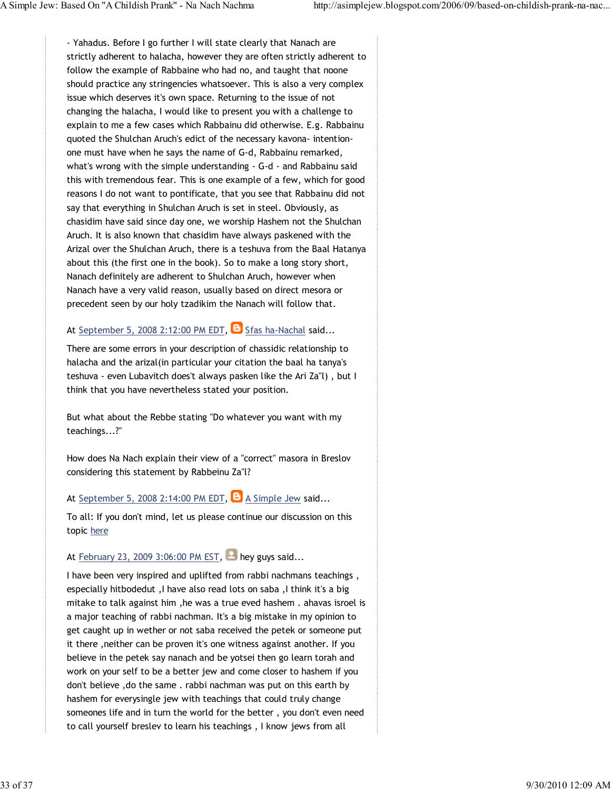- Yahadus. Before I go further I will state clearly that Nanach are strictly adherent to halacha, however they are often strictly adherent to follow the example of Rabbaine who had no, and taught that noone should practice any stringencies whatsoever. This is also a very complex issue which deserves it's own space. Returning to the issue of not changing the halacha, I would like to present you with a challenge to explain to me a few cases which Rabbainu did otherwise. E.g. Rabbainu quoted the Shulchan Aruch's edict of the necessary kavona- intentionone must have when he says the name of G-d, Rabbainu remarked, what's wrong with the simple understanding - G-d - and Rabbainu said this with tremendous fear. This is one example of a few, which for good reasons I do not want to pontificate, that you see that Rabbainu did not say that everything in Shulchan Aruch is set in steel. Obviously, as chasidim have said since day one, we worship Hashem not the Shulchan Aruch. It is also known that chasidim have always paskened with the Arizal over the Shulchan Aruch, there is a teshuva from the Baal Hatanya about this (the first one in the book). So to make a long story short, Nanach definitely are adherent to Shulchan Aruch, however when Nanach have a very valid reason, usually based on direct mesora or precedent seen by our holy tzadikim the Nanach will follow that.

### At September 5, 2008 2:12:00 PM EDT,  $\Theta$  Sfas ha-Nachal said...

There are some errors in your description of chassidic relationship to halacha and the arizal(in particular your citation the baal ha tanya's teshuva - even Lubavitch does't always pasken like the Ari Za"l) , but I think that you have nevertheless stated your position.

But what about the Rebbe stating "Do whatever you want with my teachings...?"

How does Na Nach explain their view of a "correct" masora in Breslov considering this statement by Rabbeinu Za"l?

At September 5, 2008 2:14:00 PM EDT,  $\Theta$  A Simple Jew said...

To all: If you don't mind, let us please continue our discussion on this topic here

### At February 23, 2009 3:06:00 PM EST, hey guys said...

I have been very inspired and uplifted from rabbi nachmans teachings , especially hitbodedut ,I have also read lots on saba ,I think it's a big mitake to talk against him ,he was a true eved hashem . ahavas isroel is a major teaching of rabbi nachman. It's a big mistake in my opinion to get caught up in wether or not saba received the petek or someone put it there ,neither can be proven it's one witness against another. If you believe in the petek say nanach and be yotsei then go learn torah and work on your self to be a better jew and come closer to hashem if you don't believe ,do the same . rabbi nachman was put on this earth by hashem for everysingle jew with teachings that could truly change someones life and in turn the world for the better , you don't even need to call yourself breslev to learn his teachings , I know jews from all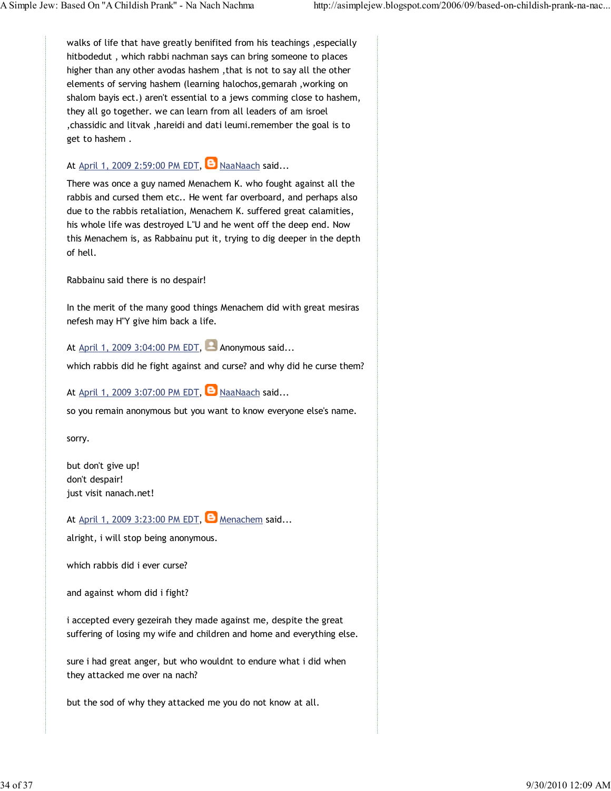walks of life that have greatly benifited from his teachings , especially hitbodedut , which rabbi nachman says can bring someone to places higher than any other avodas hashem ,that is not to say all the other elements of serving hashem (learning halochos,gemarah ,working on shalom bayis ect.) aren't essential to a jews comming close to hashem, they all go together. we can learn from all leaders of am isroel ,chassidic and litvak ,hareidi and dati leumi.remember the goal is to get to hashem .

### At April 1, 2009 2:59:00 PM EDT,  $\Theta$  NaaNaach said...

There was once a guy named Menachem K. who fought against all the rabbis and cursed them etc.. He went far overboard, and perhaps also due to the rabbis retaliation, Menachem K. suffered great calamities, his whole life was destroyed L"U and he went off the deep end. Now this Menachem is, as Rabbainu put it, trying to dig deeper in the depth of hell.

Rabbainu said there is no despair!

In the merit of the many good things Menachem did with great mesiras nefesh may H"Y give him back a life.

At April 1, 2009 3:04:00 PM EDT, Anonymous said...

which rabbis did he fight against and curse? and why did he curse them?

At April 1, 2009 3:07:00 PM EDT,  $\Theta$  NaaNaach said...

so you remain anonymous but you want to know everyone else's name.

sorry.

but don't give up! don't despair! just visit nanach.net!

At April 1, 2009 3:23:00 PM EDT,  $\Theta$  Menachem said...

alright, i will stop being anonymous.

which rabbis did i ever curse?

and against whom did i fight?

i accepted every gezeirah they made against me, despite the great suffering of losing my wife and children and home and everything else.

sure i had great anger, but who wouldnt to endure what i did when they attacked me over na nach?

but the sod of why they attacked me you do not know at all.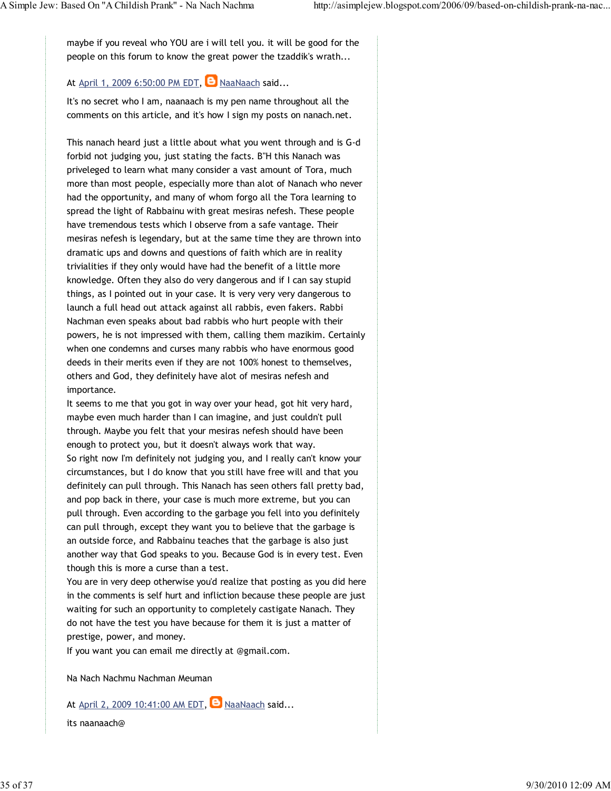maybe if you reveal who YOU are i will tell you. it will be good for the people on this forum to know the great power the tzaddik's wrath...

## At April 1, 2009 6:50:00 PM EDT,  $\Theta$  NaaNaach said...

It's no secret who I am, naanaach is my pen name throughout all the comments on this article, and it's how I sign my posts on nanach.net.

This nanach heard just a little about what you went through and is G-d forbid not judging you, just stating the facts. B"H this Nanach was priveleged to learn what many consider a vast amount of Tora, much more than most people, especially more than alot of Nanach who never had the opportunity, and many of whom forgo all the Tora learning to spread the light of Rabbainu with great mesiras nefesh. These people have tremendous tests which I observe from a safe vantage. Their mesiras nefesh is legendary, but at the same time they are thrown into dramatic ups and downs and questions of faith which are in reality trivialities if they only would have had the benefit of a little more knowledge. Often they also do very dangerous and if I can say stupid things, as I pointed out in your case. It is very very very dangerous to launch a full head out attack against all rabbis, even fakers. Rabbi Nachman even speaks about bad rabbis who hurt people with their powers, he is not impressed with them, calling them mazikim. Certainly when one condemns and curses many rabbis who have enormous good deeds in their merits even if they are not 100% honest to themselves, others and God, they definitely have alot of mesiras nefesh and importance.

It seems to me that you got in way over your head, got hit very hard, maybe even much harder than I can imagine, and just couldn't pull through. Maybe you felt that your mesiras nefesh should have been enough to protect you, but it doesn't always work that way. So right now I'm definitely not judging you, and I really can't know your circumstances, but I do know that you still have free will and that you definitely can pull through. This Nanach has seen others fall pretty bad, and pop back in there, your case is much more extreme, but you can pull through. Even according to the garbage you fell into you definitely can pull through, except they want you to believe that the garbage is an outside force, and Rabbainu teaches that the garbage is also just another way that God speaks to you. Because God is in every test. Even though this is more a curse than a test.

You are in very deep otherwise you'd realize that posting as you did here in the comments is self hurt and infliction because these people are just waiting for such an opportunity to completely castigate Nanach. They do not have the test you have because for them it is just a matter of prestige, power, and money.

If you want you can email me directly at @gmail.com.

Na Nach Nachmu Nachman Meuman

At April 2, 2009 10:41:00 AM EDT,  $\Box$  NaaNaach said...

its naanaach@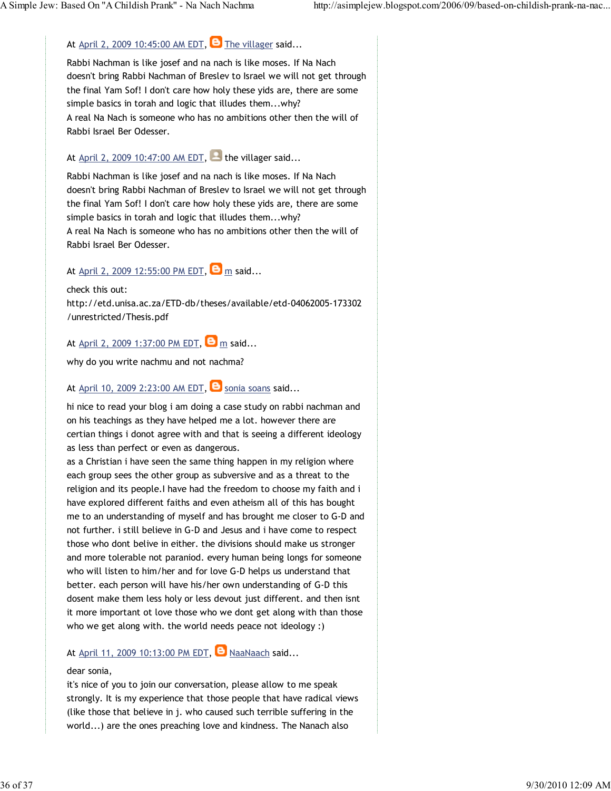### At April 2, 2009 10:45:00 AM EDT,  $\Theta$  The villager said...

Rabbi Nachman is like josef and na nach is like moses. If Na Nach doesn't bring Rabbi Nachman of Breslev to Israel we will not get through the final Yam Sof! I don't care how holy these yids are, there are some simple basics in torah and logic that illudes them...why? A real Na Nach is someone who has no ambitions other then the will of Rabbi Israel Ber Odesser.

## At April 2, 2009 10:47:00 AM EDT, the villager said...

Rabbi Nachman is like josef and na nach is like moses. If Na Nach doesn't bring Rabbi Nachman of Breslev to Israel we will not get through the final Yam Sof! I don't care how holy these yids are, there are some simple basics in torah and logic that illudes them...why? A real Na Nach is someone who has no ambitions other then the will of Rabbi Israel Ber Odesser.

### At April 2, 2009 12:55:00 PM EDT,  $\Theta$  m said...

check this out: http://etd.unisa.ac.za/ETD-db/theses/available/etd-04062005-173302 /unrestricted/Thesis.pdf

### At April 2, 2009 1:37:00 PM EDT,  $\Theta$  m said...

why do you write nachmu and not nachma?

### At April 10, 2009 2:23:00 AM EDT,  $\bullet$  sonia soans said...

hi nice to read your blog i am doing a case study on rabbi nachman and on his teachings as they have helped me a lot. however there are certian things i donot agree with and that is seeing a different ideology as less than perfect or even as dangerous.

as a Christian i have seen the same thing happen in my religion where each group sees the other group as subversive and as a threat to the religion and its people.I have had the freedom to choose my faith and i have explored different faiths and even atheism all of this has bought me to an understanding of myself and has brought me closer to G-D and not further. i still believe in G-D and Jesus and i have come to respect those who dont belive in either. the divisions should make us stronger and more tolerable not paraniod. every human being longs for someone who will listen to him/her and for love G-D helps us understand that better. each person will have his/her own understanding of G-D this dosent make them less holy or less devout just different. and then isnt it more important ot love those who we dont get along with than those who we get along with. the world needs peace not ideology :)

### At April 11, 2009 10:13:00 PM EDT,  $\Box$  NaaNaach said...

#### dear sonia,

it's nice of you to join our conversation, please allow to me speak strongly. It is my experience that those people that have radical views (like those that believe in j. who caused such terrible suffering in the world...) are the ones preaching love and kindness. The Nanach also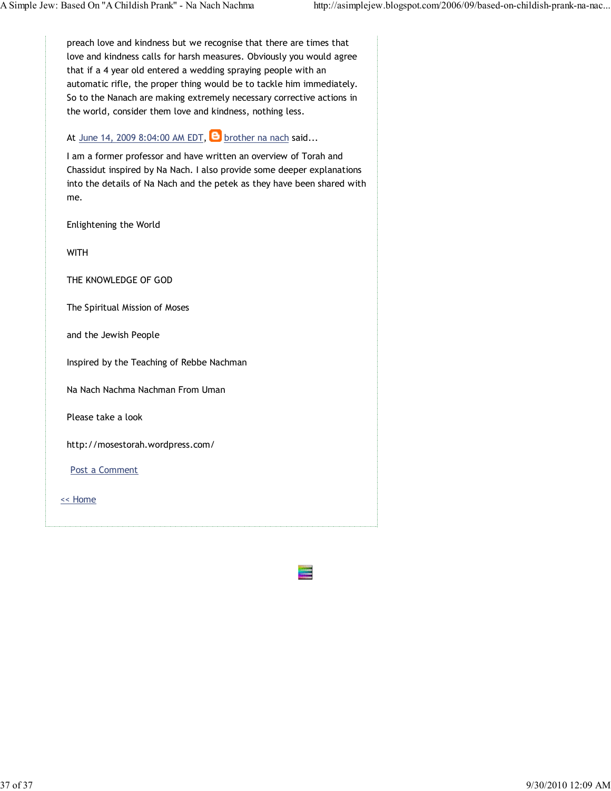preach love and kindness but we recognise that there are times that love and kindness calls for harsh measures. Obviously you would agree that if a 4 year old entered a wedding spraying people with an automatic rifle, the proper thing would be to tackle him immediately. So to the Nanach are making extremely necessary corrective actions in the world, consider them love and kindness, nothing less.

## At June 14, 2009 8:04:00 AM EDT,  $\Theta$  brother na nach said...

I am a former professor and have written an overview of Torah and Chassidut inspired by Na Nach. I also provide some deeper explanations into the details of Na Nach and the petek as they have been shared with me.

Enlightening the World

WITH

THE KNOWLEDGE OF GOD

The Spiritual Mission of Moses

and the Jewish People

Inspired by the Teaching of Rebbe Nachman

Na Nach Nachma Nachman From Uman

Please take a look

http://mosestorah.wordpress.com/

Post a Comment

<< Home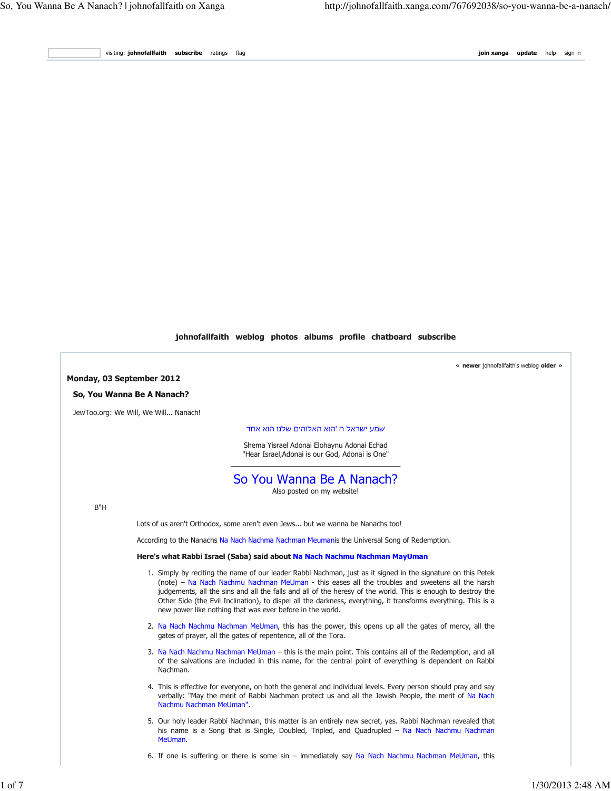visiting: **johnofallfaith subscribe** ratings flag **in the sign in the subscription of the sign in the sign in the sign in** 

#### johnofallfaith weblog photos albums profile chatboard subscribe

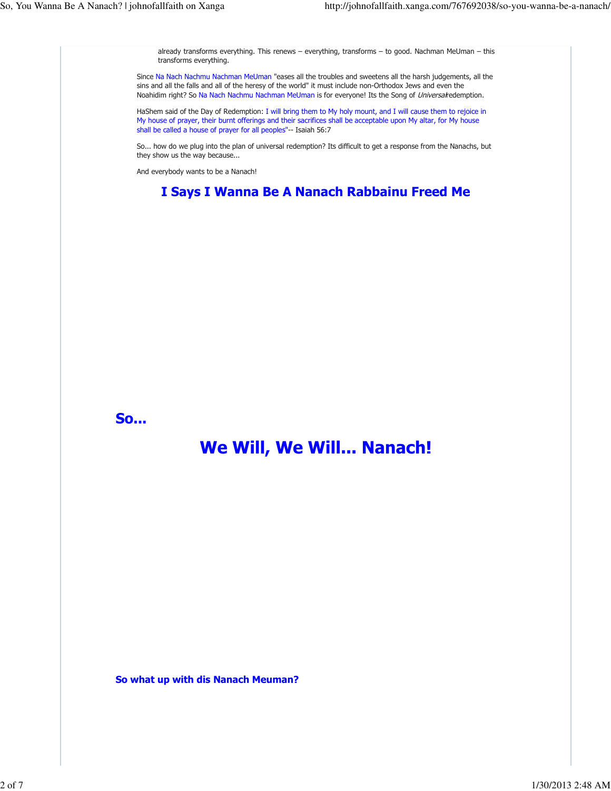already transforms everything. This renews – everything, transforms – to good. Nachman MeUman – this transforms everything. Since Na Nach Nachmu Nachman MeUman "eases all the troubles and sweetens all the harsh judgements, all the sins and all the falls and all of the heresy of the world" it must include non-Orthodox Jews and even the Noahidim right? So Na Nach Nachmu Nachman MeUman is for everyone! Its the Song of Universal redemption. HaShem said of the Day of Redemption: I will bring them to My holy mount, and I will cause them to rejoice in My house of prayer, their burnt offerings and their sacrifices shall be acceptable upon My altar, for My house shall be called a house of prayer for all peoples"-- Isaiah 56:7 So... how do we plug into the plan of universal redemption? Its difficult to get a response from the Nanachs, but they show us the way because... And everybody wants to be a Nanach! I Says I Wanna Be A Nanach Rabbainu Freed Me So... We Will, We Will... Nanach! So what up with dis Nanach Meuman?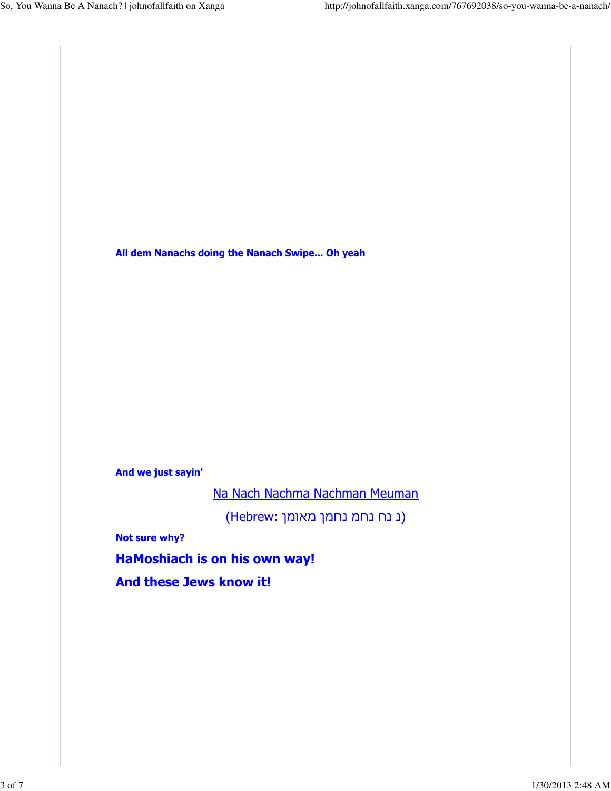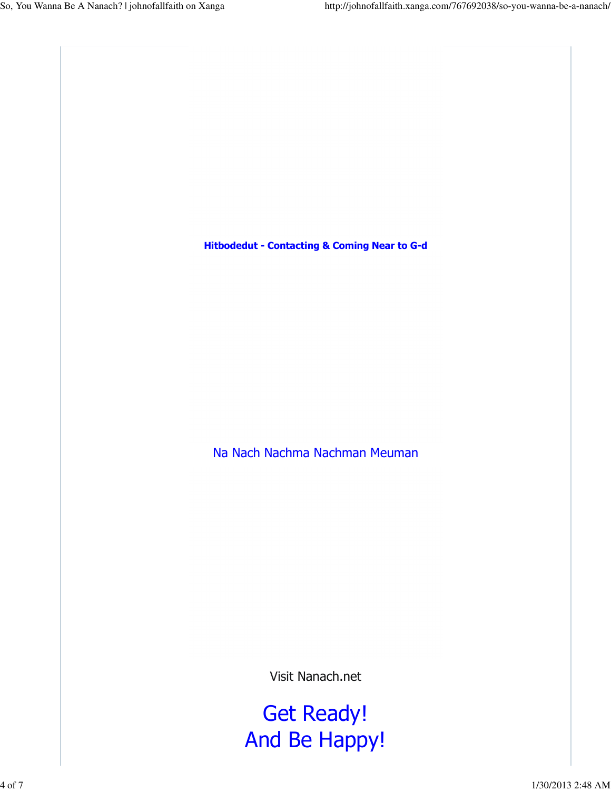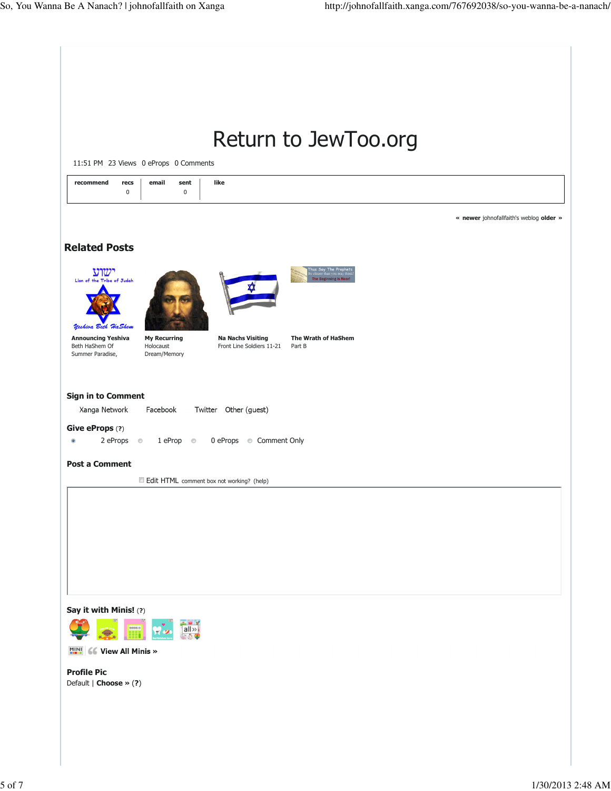